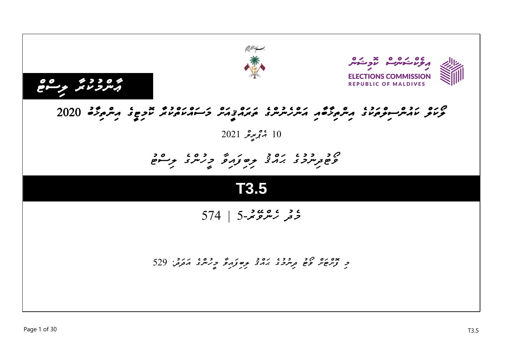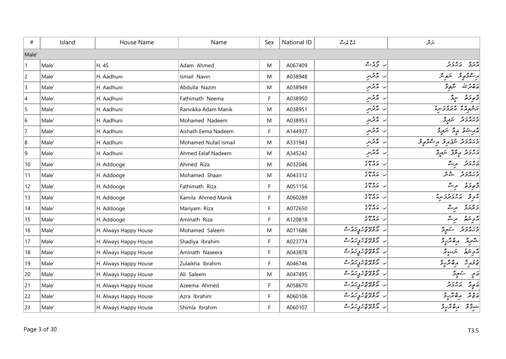| #              | Island | House Name            | Name                  | Sex       | National ID | ، ه ، بر <u>م</u>                                      | ىئرىتر                                                                                                              |
|----------------|--------|-----------------------|-----------------------|-----------|-------------|--------------------------------------------------------|---------------------------------------------------------------------------------------------------------------------|
| Male'          |        |                       |                       |           |             |                                                        |                                                                                                                     |
|                | Male'  | <b>H.4S</b>           | Adam Ahmed            | M         | A067409     | ر. د در ه                                              | برره ره رو<br>پرترو پرتروتر                                                                                         |
| $\overline{2}$ | Male'  | H. Aadhuni            | Ismail Navin          | M         | A038948     | ر. گەترىس                                              | بر_شۇ پەيۋ<br>سكره مثر                                                                                              |
| $\vert$ 3      | Male'  | H. Aadhuni            | Abdulla Nazim         | M         | A038949     | ر. گەنترىس                                             | صقعرالله<br>سَّرْهُ رُ                                                                                              |
| $\vert 4$      | Male'  | H. Aadhuni            | Fathimath Neema       | F         | A038950     | ر، مرکورسو                                             | سرچ<br>ۇ بوز ئ                                                                                                      |
| $\overline{5}$ | Male'  | H. Aadhuni            | Ranvikka Adam Manik   | ${\sf M}$ | A038951     | ر. گەنگەس                                              | גם כש שנכליתי                                                                                                       |
| $\overline{6}$ | Male'  | H. Aadhuni            | Mohamed Nadeem        | ${\sf M}$ | A038953     | ر. گەترىس                                              | ورەرو برېږو                                                                                                         |
| $\vert$ 7      | Male'  | H. Aadhuni            | Aishath Eema Nadeem   | F         | A144937     | ر به مرکبر                                             | أمهر كالمحمد والمحمد الكرام والمحمد والمحمد والمحمد والمحمد والمحمد والمحمد والمحمد والمحمد والمحمد والمحمد والمحمد |
| 8              | Male'  | H. Aadhuni            | Mohamed Nufail Ismail | M         | A331943     | ر. گەنترىس                                             | ورەرو پرورۇ رېگەنگە                                                                                                 |
| 9              | Male'  | H. Aadhuni            | Ahmed Eelaf Nadeem    | M         | A345242     | ر. گەنترىس                                             | ג' ביצי ג' צ'ר " " יציע ברי האין ברי המודע ברי האין ברי האין ברי האין ברי האין ברי האין ברי האין האי                |
| 10             | Male'  | H. Addooge            | Ahmed Riza            | ${\sf M}$ | A032046     | $\frac{1}{2}$                                          | رەرو برگ                                                                                                            |
| 11             | Male'  | H. Addooge            | Mohamed Shaan         | ${\sf M}$ | A043312     | $5302 -$                                               | ورەر دەر                                                                                                            |
| 12             | Male'  | H. Addooge            | Fathimath Riza        | F         | A051156     | 5301                                                   | وٌودَهُ برِتٌ                                                                                                       |
| $ 13\rangle$   | Male'  | H. Addooge            | Kamila Ahmed Manik    | F         | A060289     | 5201                                                   | י ביצי המכנברית                                                                                                     |
| 14             | Male'  | H. Addooge            | Mariyam Riza          | F         | A072650     | 5301                                                   | ر ه ر ه<br>تر برگ<br>برتگه                                                                                          |
| 15             | Male'  | H. Addooge            | Aminath Riza          | F         | A120818     | 5301                                                   | أرمز<br>سرتگه                                                                                                       |
| 16             | Male'  | H. Always Happy House | Mohamed Saleem        | M         | A011686     | ە ئەمەرە ئەرىر دە<br>رەھبىر ئەمەرىرى ئىس               | و ر ه ر د<br><i>و پر پ</i> رتر<br>سەرد                                                                              |
| 17             | Male'  | H. Always Happy House | Shadiya Ibrahim       | F         | A023774     | ە ئەمەرە ئەرىر دە<br>ر. ئەنزۈنجەر ي <sub>و</sub> رىر ت | مشورتر<br>رە ئۈرۈ                                                                                                   |
| 18             | Male'  | H. Always Happy House | Aminath Naseera       | F         | A043878     | ם מים מים מים כי<br>היה מים מית מים ל                  | أرمز<br>ىئرسىدىتى                                                                                                   |
| 19             | Male'  | H. Always Happy House | Zulaikha Ibrahim      | F         | A046746     | ر صده و د و ه<br>ر . مر <i>ووی دپ</i> رم               | ەھ ترىرى<br>چ ئۇ م <sup>ەش</sup> ر                                                                                  |
| 20             | Male'  | H. Always Happy House | Ali Saleem            | M         | A047495     | ر موري د د د ه<br>ر . موري د پوره ک                    | ړی سنوپو                                                                                                            |
| 21             | Male'  | H. Always Happy House | Azeema Ahmed          | F         | A058670     | ە ئەمەرە ئەرىر ق<br>رەھبى ئەمەرىكە                     | پرور و<br>ەنىمۇقى                                                                                                   |
| 22             | Male'  | H. Always Happy House | Azra Ibrahim          | F         | A060106     | 5, 10000                                               | ړه پر هڅرن                                                                                                          |
| 23             | Male'  | H. Always Happy House | Shimla Ibrahim        | F         | A060107     | $\frac{1}{2}$                                          | ەھ ترىرى<br>ا ڪوچي گا<br>پ                                                                                          |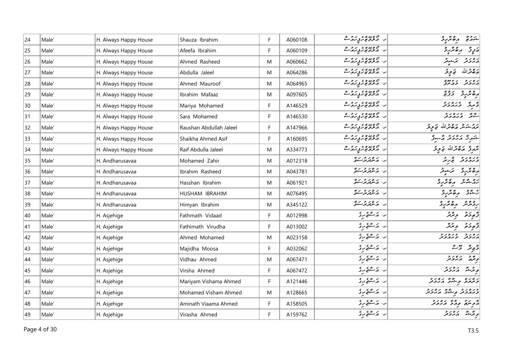| 24 | Male' | H. Always Happy House | Shauza Ibrahim          | F  | A060108 |                                                         | دە ئەرد<br>  شەرىخ                                |
|----|-------|-----------------------|-------------------------|----|---------|---------------------------------------------------------|---------------------------------------------------|
| 25 | Male' | H. Always Happy House | Afeefa Ibrahim          | F. | A060109 | ם מים מים מידי כי<br>היה מיבים מידי המידי ה             | ڔۿؠڒڔۮ<br>  پر وِڙ                                |
| 26 | Male' | H. Always Happy House | Ahmed Rasheed           | M  | A060662 | ر موه ده در و ه<br>ر۰ مر <i>ووی د</i> ورم               | بر ه بر د<br>م <i>رگ</i> خر<br>بمرشدقر            |
| 27 | Male' | H. Always Happy House | Abdulla Jaleel          | M  | A064286 | $\frac{1}{2}$                                           | ەھىراللە<br>تع تريحر                              |
| 28 | Male' | H. Always Happy House | Ahmed Mauroof           | M  | A064965 |                                                         | ر و دوه<br>تر <i>ه بو</i> تو<br>ەرەر د            |
| 29 | Male' | H. Always Happy House | Ibrahim Mafaaz          | M  | A097605 | ە ئەمەرە ئەرىر ق<br>رەھبى ئەمەرىكە                      | ەر ھەتمەر 2<br>ب<br>ر پر ہ<br>تر تر م             |
| 30 | Male' | H. Always Happy House | Mariya Mohamed          | F. | A146529 | ە مەمەرە بەر دەر                                        | وحمدش<br>و ره ر و<br>تر پر ژنو                    |
| 31 | Male' | H. Always Happy House | Sara Mohamed            | F  | A146530 | ם מים מים מים כי הריים.<br>היה הי <i>בפיים הקב</i> ה בי | رحم وره دو.<br>سنگر وبروژور                       |
| 32 | Male' | H. Always Happy House | Raushan Abdullah Jaleel | F. | A147966 | ە مەمەم ئەرىر مەم<br>رەھبى ئەرىرى ئە                    | بروشهر رەوراللە ق بوقر                            |
| 33 | Male' | H. Always Happy House | Shaikha Ahmed Asif      | F. | A160695 | ם מים מים מידים.<br>מי הי <i>בפים מיציב</i> ה           | ڪمرڙ گھرو ۾ جو                                    |
| 34 | Male' | H. Always Happy House | Raif Abdulla Jaleel     | M  | A334773 | ر من من و ، د و ه<br>ر . مروح من پر مد                  | ترمرو رەقىراللە قەمرىز                            |
| 35 | Male' | H. Andharusavaa       | Mohamed Zahir           | M  | A012318 | ر . كەشرىرى ئىسكى                                       | ورەر دېر پر                                       |
| 36 | Male' | H. Andharusavaa       | Ibrahim Rasheed         | M  | A043781 | ر . كەش <i>رىتى سى</i> رىگە                             | ە ھەترىر <sup>ە</sup><br>ىمەھىر                   |
| 37 | Male' | H. Andharusavaa       | Hasshan Ibrahim         | M  | A061921 | ر . كەش <i>رىرى ئى</i> رگە                              | رە يەھ<br>ئەرشەھر<br>ەھ ترىرى                     |
| 38 | Male' | H. Andharusavaa       | HUSHAM IBRAHIM          | M  | A076495 | ر . ئەشرىرىرى ئىستوگە                                   | ەھ ئەرج<br><u>ر شرو</u>                           |
| 39 | Male' | H. Andharusavaa       | Himyan Ibrahim          | M  | A345122 | ر. كەشرىرىمەت ئەڭ                                       | ڔۿؠٞڔۯ<br>رە بۇ ھ                                 |
| 40 | Male' | H. Asjehige           | Fathmath Vidaad         | F  | A012998 | ر، مەسقۇرۇ                                              | وحجمج وحمح<br>ء ترٌتر                             |
| 41 | Male' | H. Asjehige           | Fathimath Virudha       | F  | A013002 | ر. مەسقۇرى                                              | و مر د<br>تر مور مو<br>ء برُتر                    |
| 42 | Male' | H. Asjehige           | Ahmed Mohamed           | M  | A023158 | ر، مەسقى بەي                                            | ىر 2 مەر<br>مەيرى قىر<br>و ر ه ر و<br>تر پر تر تر |
| 43 | Male' | H. Asjehige           | Majidha Moosa           | F  | A032062 | ر به شهره جا دی<br>ر به کمه شهره بر                     | دين مشر<br>وَّمِ وَرَّ                            |
| 44 | Male' | H. Asjehige           | Vidhau Ahmed            | M  | A067471 | ر. مەسقۇرى                                              | وقره بره رو                                       |
| 45 | Male' | H. Asjehige           | Virsha Ahmed            | F  | A067472 | ر، مەسقۇرۇ                                              | وبر شه برور د                                     |
| 46 | Male' | H. Asjehige           | Mariyam Vishama Ahmed   | F. | A121446 | ر، مەسقۇرۇ                                              | رەرە پەشۇ رەرد                                    |
| 47 | Male' | H. Asjehige           | Mohamed Visham Ahmed    | M  | A128665 | ر په کره چې دی                                          | ورەر د پەن رەر د                                  |
| 48 | Male' | H. Asjehige           | Aminath Viaama Ahmed    | F. | A158505 | ر. مەسقۇرى                                              | أأوسم وأأو أأبرون                                 |
| 49 | Male' | H. Asjehige           | Virasha Ahmed           | F  | A159762 | ر، مەسقۇرى                                              | وبمَّرْ شَدَّ دَيْرَوْتَر                         |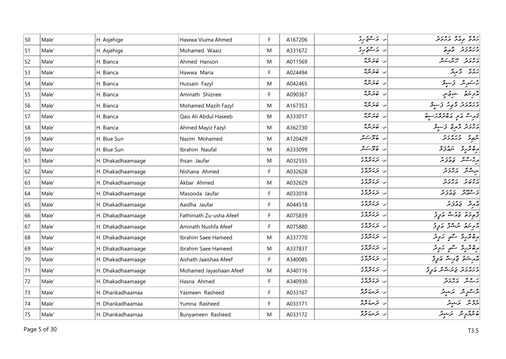| 50 | Male' | H. Asjehige       | Hawwa Viuma Ahmed       | F         | A167206 | ر. مەسقۇرۇ                                 | 2201 22 2014                             |
|----|-------|-------------------|-------------------------|-----------|---------|--------------------------------------------|------------------------------------------|
| 51 | Male' | H. Asjehige       | Mohamed Waaiz           | M         | A331672 | ر . مەشقىرى                                | ورەر د د                                 |
| 52 | Male' | H. Bianca         | Ahmed Hanson            | M         | A011569 | ر. په دره په                               | رەرد بىەرىكە                             |
| 53 | Male' | H. Bianca         | Hawwa Maria             | F.        | A024494 | ر په ده و                                  | رە ئەرگە                                 |
| 54 | Male' | H. Bianca         | Hussain Fazyl           | M         | A042465 | ر په ده و                                  | وحسكه وكالمسيو                           |
| 55 | Male' | H. Bianca         | Aminath Shiznee         | F         | A090367 | ر - פיק מיקול<br>ה- פיוק מקו               | أروبتهم سوريس                            |
| 56 | Male' | H. Bianca         | Mohamed Mazih Fazyl     | M         | A167353 | ر د ه د په<br>د کله کلرمل                  | כנסנפ פי צ' צ' ייפ                       |
| 57 | Male' | H. Bianca         | Qais Ali Abdul Haseeb   | ${\sf M}$ | A333017 | ر - פיק מיק<br>ה- סוק ייקול                | تىر شەھىر مەھەر جىتى سوھ                 |
| 58 | Male' | H. Bianca         | Ahmed Mayiz Fazyl       | M         | A362730 | ر. په دره په                               | والملاح والملمح والمسافح                 |
| 59 | Male' | H. Blue Sun       | Nazim Mohamed           | M         | A120429 | ر. ھۆسەھ                                   | شروح وبره د و                            |
| 60 | Male' | H. Blue Sun       | Ibrahim Naufal          | M         | A333099 | ر، ھۆسەھ                                   | رە ئۆر ئەدىرە                            |
| 61 | Male' | H. Dhakadhaamaage | Ihsan Jaufar            | M         | A032555 | ر ر د د د د<br>ر ۰ تر <i>ما</i> ترو د      | وروشش ودود                               |
| 62 | Male' | H. Dhakadhaamaage | Nishana Ahmed           | F         | A032628 | ر - برر بر بر بر<br>ر - فرن فرو بر         | س شکس کے مرد و                           |
| 63 | Male' | H. Dhakadhaamaaqe | Akbar Ahmed             | M         | A032629 |                                            | גם גם גם גב<br>געשי גביב                 |
| 64 | Male' | H. Dhakadhaamaage | Masooda Jaufar          | F         | A033018 | ر بە ئەرەپ ئەتەرى<br>ر بە قە <i>رەڭ ئە</i> | ر ۶ روپو در در و<br>تر سوړنگر کے پرتو تر |
| 65 | Male' | H. Dhakadhaamaaqe | Aaidha Jaufar           | F         | A044518 | ر - برره بر بر<br>ر - فرن فرو بر           | وكرونش كالدوكر                           |
| 66 | Male' | H. Dhakadhaamaaqe | Fathimath Zu-usha Afeef | F         | A075839 |                                            | توجده بهدشه مزرد                         |
| 67 | Male' | H. Dhakadhaamaage | Aminath Nushfa Afeef    | F.        | A075880 |                                            | أأروسه المراشوق أأولو                    |
| 68 | Male' | H. Dhakadhaamaage | Ibrahim Saee Hameed     | M         | A337770 | ر بەر ئەتەر<br>ر بەر ئەرگەن                | رەنزىرو سەر بەدىر                        |
| 69 | Male' | H. Dhakadhaamaaqe | Ibrahim Saee Hameed     | M         | A337837 | ر . ترىن تردّى                             | ړ هغه ده شمېر ټر پر                      |
| 70 | Male' | H. Dhakadhaamaage | Aishath Jaaishaa Afeef  | F         | A340085 | ر - برر بر بر بر<br>ر - فرن فرو بر         | و<br>مەرخىق ق <sub>ە</sub> رخىق مۇرۇ     |
| 71 | Male' | H. Dhakadhaamaage | Mohamed Jayashaan Afeef | M         | A340116 | ر بە ئەرەپە<br>ر بە تەرەقەرى               | وره رو بار ده مار و و د                  |
| 72 | Male' | H. Dhakadhaamaage | Hasna Ahmed             | F         | A340930 |                                            | ر و شهر ده د و                           |
| 73 | Male' | H. Dhankadhaamaa  | Yasmeen Rasheed         | F         | A033167 |                                            | أراد المحمد المتحر المحمد والمحمد        |
| 74 | Male' | H. Dhankadhaamaa  | Yumna Rasheed           | F         | A033171 | ر ۰ فرسرىز قرو                             | ره پر<br>افرونگر نمرشونر                 |
| 75 | Male' | H. Dhankadhaamaa  | Bunyameen Rasheed       | ${\sf M}$ | A033172 | ر · تەسرىكە تەرىج                          | ەھەر ئەس ئەسىر                           |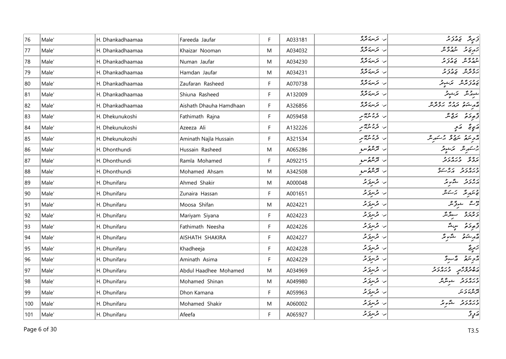| 76  | Male' | H. Dhankadhaamaa | Fareeda Jaufar          | F           | A033181 | ر کے سریکا فرگ                       | أوَمَرِيْرٌ - فَأَمَرُوْ مَرْ                                                                        |
|-----|-------|------------------|-------------------------|-------------|---------|--------------------------------------|------------------------------------------------------------------------------------------------------|
| 77  | Male' | H. Dhankadhaamaa | Khaizar Nooman          | M           | A034032 | ر .   ترسرپا ترم<br>ر .   ترسرپا ترو | ترميح متمايم                                                                                         |
| 78  | Male' | H. Dhankadhaamaa | Numan Jaufar            | M           | A034230 | ر کرسریو ترمح                        | contraction                                                                                          |
| 79  | Male' | H. Dhankadhaamaa | Hamdan Jaufar           | M           | A034231 | ر کے سرماکورنگ                       | رە يە مەدىر د<br>پەرترىس ئے مەنى                                                                     |
| 80  | Male' | H. Dhankadhaamaa | Zaufaran Rasheed        | F           | A070738 | ر کرسریوگر                           | <i>ج دو پڑ</i> یں پر موٹر                                                                            |
| 81  | Male' | H. Dhankadhaamaa | Shiuna Rasheed          | $\mathsf F$ | A132009 |                                      | الشور میگر میگر شور می<br>مرسم میگر میگر میگر                                                        |
| 82  | Male' | H. Dhankadhaamaa | Aishath Dhauha Hamdhaan | F           | A326856 | ر ۰ فرسرىز قرو                       | د در در دور در دوره می کند.<br>ماه شوم افزار با برگارد کند.                                          |
| 83  | Male' | H. Dhekunukoshi  | Fathimath Rajna         | $\mathsf F$ | A059458 | ر. قر <i>ما مورد ب</i> ر             | و المع المحمد المحمد المحمد المحمد المحمد المحمد المحمد المحمد المحمد المحمد المحمد المحمد المحمد ال |
| 84  | Male' | H. Dhekunukoshi  | Azeeza Ali              | F           | A132226 | ر، قرمانبرمبر<br>ر، قرمانبرمبر       | أشيء أشيح                                                                                            |
| 85  | Male' | H. Dhekunukoshi  | Aminath Najla Hussain   | F           | A321534 | ے و ویو<br>رسی مورد مورد مورد<br>ر   | أأوسع سمائي بالتسرير                                                                                 |
| 86  | Male' | H. Dhonthundi    | Hussain Rasheed         | M           | A065286 | ر. قرمرگورمبر                        | ج کے مرکز مرکب دیگر<br>مرکب مرکب مرکب کے سر                                                          |
| 87  | Male' | H. Dhonthundi    | Ramla Mohamed           | F           | A092215 | ر. بره و مر                          | رە درەرد                                                                                             |
| 88  | Male' | H. Dhonthundi    | Mohamed Ahsam           | M           | A342508 | ر. نرمره در<br>ر. نرمره سر           | כנסנכ נפנים                                                                                          |
| 89  | Male' | H. Dhunifaru     | Ahmed Shakir            | M           | A000048 | ر . قرموز تر                         | رەرو ھەرىر<br>مەدىر ھەرىر                                                                            |
| 90  | Male' | H. Dhunifaru     | Zunaira Hassan          | F           | A001651 | ر. قرمریز تر                         | ىم ئىرىم كە ئەسكەش                                                                                   |
| 91  | Male' | H. Dhunifaru     | Moosa Shifan            | M           | A024221 | را فرسونر                            | در شهر در شهر می برد.<br>مراسمه                                                                      |
| 92  | Male' | H. Dhunifaru     | Mariyam Siyana          | F           | A024223 | ر . قرسرتر تر                        | ويروو سورش                                                                                           |
| 93  | Male' | H. Dhunifaru     | Fathimath Neesha        | F           | A024226 | ر. مۇسىدىم                           | وٌمودَهُ سِيشٌ                                                                                       |
| 94  | Male' | H. Dhunifaru     | AISHATH SHAKIRA         | F           | A024227 | ر. مۇسىدىم                           | و مر شو د م<br>ىشكە بىر                                                                              |
| 95  | Male' | H. Dhunifaru     | Khadheeja               | F           | A024228 | ر. قرمریز تر                         | ر<br>ترمړيځ                                                                                          |
| 96  | Male' | H. Dhunifaru     | Aminath Asima           | F           | A024229 | را فرسرتر تر                         |                                                                                                      |
| 97  | Male' | H. Dhunifaru     | Abdul Haadhee Mohamed   | M           | A034969 | ر. قرمریز تر                         | ره وه به وره رو<br>مەھىرىرىتى تەمەرىر                                                                |
| 98  | Male' | H. Dhunifaru     | Mohamed Shinan          | M           | A049980 | را فرسونر                            | ورەرو ھېرس                                                                                           |
| 99  | Male' | H. Dhunifaru     | Dhon Kamana             | F           | A059963 | ر و ترسرو تر                         | یو ہ بر بر<br>ترسر <i>یا <del>و</del> س</i> ر                                                        |
| 100 | Male' | H. Dhunifaru     | Mohamed Shakir          | M           | A060002 | ر. قرسرتر تر                         | ورەرو شەرق                                                                                           |
| 101 | Male' | H. Dhunifaru     | Afeefa                  | F           | A065927 | ر. قرمریز تر                         | ەردۇ                                                                                                 |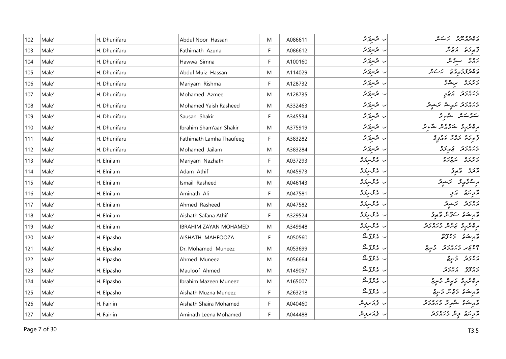| 102 | Male' | H. Dhunifaru | Abdul Noor Hassan            | M           | A086611 | ر. قرمریز تر       | ره وه دو دیگر کرد.<br>مان فرم سربر کرکر کر              |
|-----|-------|--------------|------------------------------|-------------|---------|--------------------|---------------------------------------------------------|
| 103 | Male' | H. Dhunifaru | Fathimath Azuna              | F           | A086612 | ر. قرمریز تر       | قودة مويز                                               |
| 104 | Male' | H. Dhunifaru | Hawwa Simna                  | $\mathsf F$ | A100160 | ر. قرمریز تر       | رەپ سوش                                                 |
| 105 | Male' | H. Dhunifaru | Abdul Muiz Hassan            | M           | A114029 | ر. مۇسىدىم         | גם כם כם פי גבית                                        |
| 106 | Male' | H. Dhunifaru | Mariyam Rishma               | F           | A128732 | را فرسوکر          | رەرە برىشۇ                                              |
| 107 | Male' | H. Dhunifaru | Mohamed Azmee                | M           | A128735 | ر . قرمری تر       | בגםגב גב                                                |
| 108 | Male' | H. Dhunifaru | Mohamed Yaish Rasheed        | M           | A332463 | ر. قرمریز تر       | ورەرو برېرىش برىشور                                     |
| 109 | Male' | H. Dhunifaru | Sausan Shakir                | $\mathsf F$ | A345534 | ر. قرمریز تر       | سەر سەھرىمى ئىقلابىر                                    |
| 110 | Male' | H. Dhunifaru | Ibrahim Sham'aan Shakir      | M           | A375919 | ر. مۇسىدىم         |                                                         |
| 111 | Male' | H. Dhunifaru | Fathimath Lamha Thaufeeg     | F           | A383282 | ر. قرمریز تر       | وجوحر ودوم ودوي                                         |
| 112 | Male' | H. Dhunifaru | Mohamed Jailam               | M           | A383284 | ر وگرمر کر         |                                                         |
| 113 | Male' | H. Elnilam   | Mariyam Nazhath              | F           | A037293 | ر. دوسرو           | נים נים הבריביים.<br>בי <i>צ</i> ו <i>ת ב' יית</i> לים. |
| 114 | Male' | H. Elnilam   | Adam Athif                   | M           | A045973 | ر. كەۋىرىدۇ        | أرمزد المبوقر                                           |
| 115 | Male' | H. Elnilam   | Ismail Rasheed               | M           | A046143 | ر. گەۋىبرىۋۇ       | برحۇم ئەسىم                                             |
| 116 | Male' | H. Elnilam   | Aminath Ali                  | F           | A047581 | ر. كەۋىرىدۇ        |                                                         |
| 117 | Male' | H. Elnilam   | Ahmed Rasheed                | M           | A047582 | ر. گەۋىرىۋۇ        | ره ر و مر <sub>شو</sub> تر<br>دربروتر مرشوتر            |
| 118 | Male' | H. Elnilam   | Aishath Safana Athif         | F           | A329524 | ر. كەبۇ ئىرىدۇ     |                                                         |
| 119 | Male' | H. Elnilam   | <b>IBRAHIM ZAYAN MOHAMED</b> | M           | A349948 | ر. ئۇسرىزۇ         |                                                         |
| 120 | Male' | H. Elpasho   | AISHATH MAHFOOZA             | F           | A050560 | ر، پروژگ           | ه دشته و دود .<br>مرشته و بروخ                          |
| 121 | Male' | H. Elpasho   | Dr. Mohamed Muneez           | M           | A053699 | ر، پروژے           |                                                         |
| 122 | Male' | H. Elpasho   | Ahmed Muneez                 | M           | A056664 | ر. گەۋەتچىشى       | رەرو وسرچ                                               |
| 123 | Male' | H. Elpasho   | Mauloof Ahmed                | M           | A149097 | ر. پروژنگ          | נ כמים מיטיביים.<br>המיטיביים המיטיביים                 |
| 124 | Male' | H. Elpasho   | Ibrahim Mazeen Muneez        | M           | A165007 | ر. پروژنگ          | رەتمەر ئۇي ئىر ئىرلىمى<br>مەمۇر ئى                      |
| 125 | Male' | H. Elpasho   | Aishath Muzna Muneez         | F.          | A263218 | ر، كەفرۇشكە        | و مشور ده و د سره                                       |
| 126 | Male' | H. Fairlin   | Aishath Shaira Mohamed       | F           | A040460 | $\sim$ وأبر مرموسه | مەرشۇم شۇرىگە دىرەرد                                    |
| 127 | Male' | H. Fairlin   | Aminath Leena Mohamed        | F           | A044488 | ر به تورنمبر میر   | أدوسمي وسر وره رو                                       |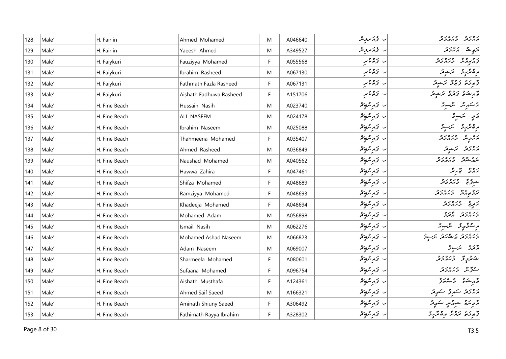| 128 | Male' | H. Fairlin    | Ahmed Mohamed           | M           | A046640 | ر. ۋە ئىرموش        | גפני כנסנים<br>הגבה כגהכת                     |
|-----|-------|---------------|-------------------------|-------------|---------|---------------------|-----------------------------------------------|
| 129 | Male' | H. Fairlin    | Yaeesh Ahmed            | M           | A349527 | ر . ۇرىمبرىر        | أتركي في المردور                              |
| 130 | Male' | H. Faiykuri   | Fauziyya Mohamed        | F           | A055568 | ر کوه مامو          | צות היה בגם גב                                |
| 131 | Male' | H. Faiykuri   | Ibrahim Rasheed         | M           | A067130 | ن يۇھەمبر           | رەنۇرۇ ئۇشوتر                                 |
| 132 | Male' | H. Faiykuri   | Fathmath Fazla Rasheed  | F           | A067131 | ن بۇھەمبر           | و دو دونو پر شوند                             |
| 133 | Male' | H. Faiykuri   | Aishath Fadhuwa Rasheed | F           | A151706 | ر کوه مامبر         | مەر شەم كەندە كەشلىر                          |
| 134 | Male' | H. Fine Beach | Hussain Nasih           | M           | A023740 | ر. زَمَرْ شَهِ گُرُ | يرتسكر مثر متزجير                             |
| 135 | Male' | H. Fine Beach | ALI NASEEM              | M           | A024178 | ر. ۇرمىھۇ           | ړې ترکېږد                                     |
| 136 | Male' | H. Fine Beach | Ibrahim Naseem          | M           | A025088 | ر. ئەرشھۇ           |                                               |
| 137 | Male' | H. Fine Beach | Thahmeena Mohamed       | F           | A035407 | ر. زَمرسه په        |                                               |
| 138 | Male' | H. Fine Beach | Ahmed Rasheed           | M           | A036849 | ~ ئەرىئىھۇ          | پرورو کرشونر                                  |
| 139 | Male' | H. Fine Beach | Naushad Mohamed         | M           | A040562 | ر. زَمرسه هم        | ىرو مەدەر <i>دىن دەر</i>                      |
| 140 | Male' | H. Fine Beach | Hawwa Zahira            | F           | A047461 | ر. زَمرسه گرم       | بروغ بخربته                                   |
| 141 | Male' | H. Fine Beach | Shifza Mohamed          | $\mathsf F$ | A048689 | ر. زَمرسْهِ گُر     | دوم دره دره                                   |
| 142 | Male' | H. Fine Beach | Ramziyya Mohamed        | F           | A048693 | ر. ۇرمىھۇ           | גם סיף כגם גב                                 |
| 143 | Male' | H. Fine Beach | Khadeeja Mohamed        | F           | A048694 | ر. ۇرمىھۇ           | زیږمځ وبره د و                                |
| 144 | Male' | H. Fine Beach | Mohamed Adam            | M           | A056898 | ر. ئەرشھۇ           | وره رو په ره<br><i>وبرم</i> ونر م <i>ې</i> رو |
| 145 | Male' | H. Fine Beach | Ismail Nasih            | M           | A062276 | ر. ئەرشھۇ           | رىسىۋە ئۇسى                                   |
| 146 | Male' | H. Fine Beach | Mohamed Ashad Naseem    | M           | A066823 | ر. زَرِسْهِ گُو     | ورەر و رەر و سر-د                             |
| 147 | Male' | H. Fine Beach | Adam Naseem             | M           | A069007 | ر. زَمَرْ شَهْرُهُ  | وره سرباره<br>منرو سرباره                     |
| 148 | Male' | H. Fine Beach | Sharmeela Mohamed       | F           | A080601 | ر. ئەرشھۇ           |                                               |
| 149 | Male' | H. Fine Beach | Sufaana Mohamed         | $\mathsf F$ | A096754 | ر. ۇرمىھۇ           | روم ورەرو                                     |
| 150 | Male' | H. Fine Beach | Aishath Musthafa        | F           | A124361 | ر. ۇرمىھۇ           | أورشتم وسبور                                  |
| 151 | Male' | H. Fine Beach | Ahmed Saif Saeed        | M           | A166321 | ر. ئەرشھۇ           | أرورو ستهزؤ ستهيئر                            |
| 152 | Male' | H. Fine Beach | Aminath Shiuny Saeed    | F.          | A306492 | ~ ۆرىئو پە          | أأوسم شوراس كورنر                             |
| 153 | Male' | H. Fine Beach | Fathimath Rayya Ibrahim | F           | A328302 | ر. ترمر شرچ گا      | و و ده ده د ه مرد و                           |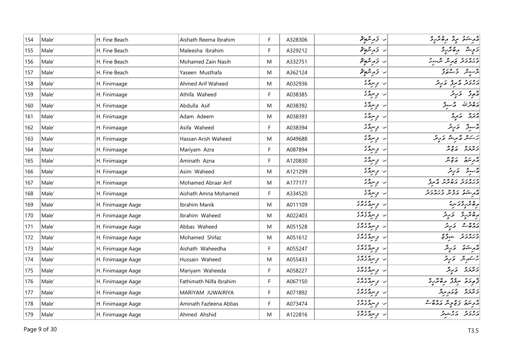| 154 | Male' | H. Fine Beach     | Aishath Reema Ibrahim   | F         | A328306 | ر. زَمَ سُرْجٍ مُحْ    | وأرشنتم برد رەترىرد                                    |
|-----|-------|-------------------|-------------------------|-----------|---------|------------------------|--------------------------------------------------------|
| 155 | Male' | H. Fine Beach     | Maleesha Ibrahim        | F         | A329212 | ر. زَرِ سْرَجٍ مُحْ    | دَرِيةُ رەئزرۇ                                         |
| 156 | Male' | H. Fine Beach     | Mohamed Zain Nasih      | ${\sf M}$ | A332751 | ~ زَمْرِسْمِهِ مُحْ    | ورەرو يەرشەشبە                                         |
| 157 | Male' | H. Fine Beach     | Yaseen Musthafa         | ${\sf M}$ | A362124 | ر. ۇرمىھۇ              | أثر سوشر والمردم                                       |
| 158 | Male' | H. Finimaage      | Ahmed Arif Waheed       | ${\sf M}$ | A032936 | ر. و مردمی<br>سفید     | 220 220 220                                            |
| 159 | Male' | H. Finimaage      | Athifa Waheed           | F         | A038385 | ر، و مردمی<br>بر       | أشهوق وكرقر                                            |
| 160 | Male' | H. Finimaage      | Abdulla Asif            | M         | A038392 | ر. و مردی<br><u>ست</u> | أَصَاصَرْ اللَّهُ مَدَّ -- وَ                          |
| 161 | Male' | H. Finimaage      | Adam Adeem              | ${\sf M}$ | A038393 |                        | أرترو كرمرو                                            |
| 162 | Male' | H. Finimaage      | Asifa Waheed            | F         | A038394 | ر. و مردٌ دُ           | لەسبوق ئۇيەتىر                                         |
| 163 | Male' | H. Finimaage      | Hassan Arish Waheed     | M         | A049688 | ر. و بىردگە            | ير کے مگر کے مگر کر دیکر<br>پر کے مگر مگر کھیل کر دیکر |
| 164 | Male' | H. Finimaage      | Mariyam Azra            | F         | A087894 |                        | ره ره ده پر                                            |
| 165 | Male' | H. Finimaage      | Aminath Azna            | F         | A120830 | ر. و مردی              | أأزحر سكتم أأتمك متكار                                 |
| 166 | Male' | H. Finimaage      | Asim Waheed             | M         | A121299 | ن ومردي<br>ڪيمبر       | ە ئەسىرى ئەر ئە                                        |
| 167 | Male' | H. Finimaage      | Mohamed Abraar Arif     | ${\sf M}$ | A177177 | ر. و مردمی<br>سست      | כנסג כ"ג כ"כ" ב"ת כ"                                   |
| 168 | Male' | H. Finimaage      | Aishath Amna Mohamed    | F         | A334520 | ر. و بىردگە            | و مشروح ده وره دو                                      |
| 169 | Male' | H. Finimaage Aage | Ibrahim Manik           | ${\sf M}$ | A011109 | ر. و سرځ ووه           | ە ھەمگە جەنجە سرى <i>ن</i>                             |
| 170 | Male' | H. Finimaage Aage | Ibrahim Waheed          | M         | A022403 | ر . و سرد نام ده       | رەپرىر كەبىر                                           |
| 171 | Male' | H. Finimaage Aage | Abbas Waheed            | M         | A051528 | ر. و سرځ د ده          | 5.2000                                                 |
| 172 | Male' | H. Finimaage Aage | Mohamed Shifaz          | M         | A051612 | ر و سرد و و و          | ورەر د بەھ<br><i>دىدە</i> ردىر شەرگى                   |
| 173 | Male' | H. Finimaage Aage | Aishath Waheedha        | F         | A055247 | ر . و سرد و و و و      | أقهر شكافها وكباقر                                     |
| 174 | Male' | H. Finimaage Aage | Hussain Waheed          | M         | A055433 | ر و مرد و و و          | 2سكەرىش كۈيرىتى                                        |
| 175 | Male' | H. Finimaage Aage | Mariyam Waheeda         | F         | A058227 | ار. وسر                | رەرە رىدۇ                                              |
| 176 | Male' | H. Finimaage Aage | Fathimath Nilfa Ibrahim | F         | A067150 | ر. ومرد و و و          | و و ده سروو مهندو                                      |
| 177 | Male' | H. Finimaage Aage | MARIYAM JUWAIRIYA       | F         | A071892 | ر . و سرد نام ده       | בפנס כנותה                                             |
| 178 | Male' | H. Finimaage Aage | Aminath Fazleena Abbas  | F         | A073474 | ر. و بېرځۍ ده          | أزويته زيم يشر وره ف                                   |
| 179 | Male' | H. Finimaage Aage | Ahmed Ahshid            | ${\sf M}$ | A122816 | ر و سرځ د ده           | رەرد رەئىدۇ                                            |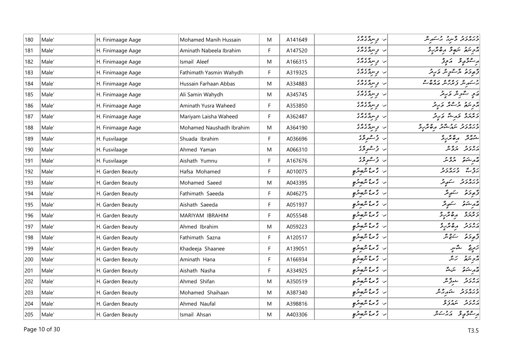| 180 | Male' | H. Finimaage Aage | Mohamed Manih Hussain    | Μ  | A141649 | ر . و سرد نام ،                          | ورەرو ۇس كاسكى                              |
|-----|-------|-------------------|--------------------------|----|---------|------------------------------------------|---------------------------------------------|
| 181 | Male' | H. Finimaage Aage | Aminath Nabeela Ibrahim  | F  | A147520 | ر و مرد و و و                            | הכתב תפל תפתיל                              |
| 182 | Male' | H. Finimaage Aage | Ismail Aleef             | M  | A166315 | ار. ومرد و و و <del>و</del>              | وڪرڻ ڏيو                                    |
| 183 | Male' | H. Finimaage Aage | Fathimath Yasmin Wahydh  | F. | A319325 | ار، ومرد ووی                             | و و ده و د موسر و د د                       |
| 184 | Male' | H. Finimaage Aage | Hussain Farhaan Abbas    | Μ  | A334883 | ار. ومرد و و و                           | د در ماره ده ده ده ده م                     |
| 185 | Male' | H. Finimaage Aage | Ali Samin Wahydh         | Μ  | A345745 | ر . و سرد د                              | ړې گوپر وړتر                                |
| 186 | Male' | H. Finimaage Aage | Aminath Yusra Waheed     | F  | A353850 | ر. د سرچينې                              | أأوسم الرسائر أورد                          |
| 187 | Male' | H. Finimaage Aage | Mariyam Laisha Waheed    | F  | A362487 | ار. و مرد و و و و                        | وبرمرو كررك كربائر                          |
| 188 | Male' | H. Finimaage Aage | Mohamed Naushadh Ibrahim | M  | A364190 | ر و سرد و و و                            | כנסגב גביב תסתבר                            |
| 189 | Male' | H. Fusvilaage     | Shuada Ibrahim           | F  | A036696 | ر. ۇرگەمۇگە                              | شهد میگرد                                   |
| 190 | Male' | H. Fusvilaage     | Ahmed Yaman              | Μ  | A066310 | ر. ۋە ھەمۇد                              | גם ג' הבית<br>הגבת תכת                      |
| 191 | Male' | H. Fusvilaage     | Aishath Yumnu            | F  | A167676 | ر. ۇش <sub>موقۇ</sub> ي                  | وكرشكة الروائر                              |
| 192 | Male' | H. Garden Beauty  | Hafsa Mohamed            | F. | A010075 | ر، ئ <sup>ە</sup> مر، شەھ <sup>ر</sup> ى | ره په دره د د<br>برو په د برمان             |
| 193 | Male' | H. Garden Beauty  | Mohamed Saeed            | M  | A043395 | ر گري ماڻھوڻ                             | ورەرو سەرو                                  |
| 194 | Male' | H. Garden Beauty  | Fathimath Saeeda         | F  | A046275 |                                          | رُّجِرَةُ سَهِيدٌ                           |
| 195 | Male' | H. Garden Beauty  | Aishath Saeeda           | F. | A051937 |                                          | ۇرىشقى كەرگە                                |
| 196 | Male' | H. Garden Beauty  | MARIYAM IBRAHIM          | F  | A055548 |                                          | برە ئۆرۈ<br>ر ه بر ه<br><del>د</del> بربرگر |
| 197 | Male' | H. Garden Beauty  | Ahmed Ibrahim            | M  | A059223 |                                          | ڔۿؠٞڔۯ<br>ىر 2 خەر<br>مەشرىقىر              |
| 198 | Male' | H. Garden Beauty  | Fathimath Sazna          | F  | A120517 | ر گري مهم م                              | سە چە ئىگە<br>وٌ جو حر حر                   |
| 199 | Male' | H. Garden Beauty  | Khadeeja Shaanee         | F  | A139051 | ر که می شهر شهر م                        | ئرَىرِيَّحَ<br>۔<br>سنگرسر                  |
| 200 | Male' | H. Garden Beauty  | Aminath Hana             | F  | A166934 | ر. گري مگھورھي                           | و څخه سرچ<br>ىر ئەنگە                       |
| 201 | Male' | H. Garden Beauty  | Aishath Nasha            | F  | A334925 | ر گري مگره مرهج                          | <i>وگر ڪو سرڪ</i>                           |
| 202 | Male' | H. Garden Beauty  | Ahmed Shifan             | M  | A350519 | ر. گريم مهوره په                         | رەرد ھۆگ                                    |
| 203 | Male' | H. Garden Beauty  | Mohamed Shaihaan         | M  | A387340 | ر. که مرج مرجود ج                        | ورەرو شەرشى                                 |
| 204 | Male' | H. Garden Beauty  | Ahmed Naufal             | M  | A398816 |                                          | رەرد بەدرە<br>مەدىر شم <i>ە</i> رخ          |
| 205 | Male' | H. Garden Beauty  | Ismail Ahsan             | Μ  | A403306 |                                          | مەسىۋەي كەر ئەسكىر                          |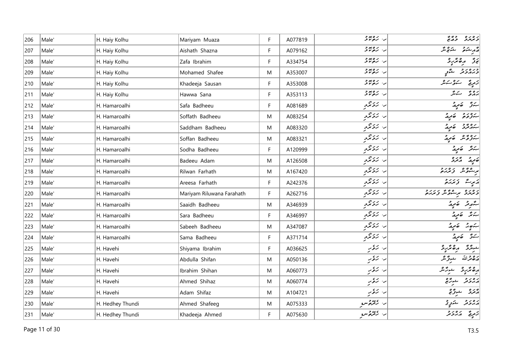| 206 | Male' | H. Haiy Kolhu    | Mariyam Muaza             | $\mathsf F$ | A077819 | ر مره برو<br>ر· رمونا ب   | و دیم<br>تر پر سخ<br>ر ه ر ه<br><del>و</del> بربرو                                                                                                                                                                                  |
|-----|-------|------------------|---------------------------|-------------|---------|---------------------------|-------------------------------------------------------------------------------------------------------------------------------------------------------------------------------------------------------------------------------------|
| 207 | Male' | H. Haiy Kolhu    | Aishath Shazna            | F           | A079162 | ر رەپرە<br>ر. رەپرى       | لحمر ينمرد<br>شەم ئىر                                                                                                                                                                                                               |
| 208 | Male' | H. Haiy Kolhu    | Zafa Ibrahim              | F           | A334754 | ر بره برو<br>ر بر رو بر د | $rac{1}{2}$                                                                                                                                                                                                                         |
| 209 | Male' | H. Haiy Kolhu    | Mohamed Shafee            | M           | A353007 | ر برەپر د<br>ر. ئەمەلال   | ورەرو ئەر                                                                                                                                                                                                                           |
| 210 | Male' | H. Haiy Kolhu    | Khadeeja Sausan           | F.          | A353008 | ر برەپر د<br>ر بەر ئەل    | ر<br>ترورچ<br>م<br>سەھ سەيىر                                                                                                                                                                                                        |
| 211 | Male' | H. Haiy Kolhu    | Hawwa Sana                | F           | A353113 | ر برەپر د<br>ر برمونونل   | برەپچ<br>سەئىر                                                                                                                                                                                                                      |
| 212 | Male' | H. Hamaroalhi    | Safa Badheeu              | F           | A081689 | ر. ئەزىۋىر                | پَرُوَّ کَمَ مِرِهُ                                                                                                                                                                                                                 |
| 213 | Male' | H. Hamaroalhi    | Soffath Badheeu           | M           | A083254 | ر، ئەۋتترىپ               | ره رو گور <sup>و</sup><br>ښوونو گوره                                                                                                                                                                                                |
| 214 | Male' | H. Hamaroalhi    | Saddham Badheeu           | M           | A083320 | ر، ئەزىۋىر                | הם כך הבנה                                                                                                                                                                                                                          |
| 215 | Male' | H. Hamaroalhi    | Soffan Badheeu            | M           | A083321 | ر، ئەۋتتىپ                | بەدۇش قىرم                                                                                                                                                                                                                          |
| 216 | Male' | H. Hamaroalhi    | Sodha Badheeu             | F           | A120999 | ر. ئەنگە                  | پروگر کھ دیروگر                                                                                                                                                                                                                     |
| 217 | Male' | H. Hamaroalhi    | Badeeu Adam               | M           | A126508 | ر. ئەنگەنلىر              | ے درجہ ہے ۔<br>صحیح مدیرو                                                                                                                                                                                                           |
| 218 | Male' | H. Hamaroalhi    | Rilwan Farhath            | M           | A167420 | ر. ئەنجىگىر               | مرشوخ عز کر مرد<br>مرشوخ عز کر کر مرد ح                                                                                                                                                                                             |
| 219 | Male' | H. Hamaroalhi    | Areesa Farhath            | $\mathsf F$ | A242376 | ر، ئەنەتتى بە             | ړېږگ زېږده                                                                                                                                                                                                                          |
| 220 | Male' | H. Hamaroalhi    | Mariyam Riluwana Farahath | $\mathsf F$ | A262716 | ر. ئەزگە                  | د ۲۰ و می شوه بر در د<br>د برابرد می شوه ش و بربر و                                                                                                                                                                                 |
| 221 | Male' | H. Hamaroalhi    | Saaidh Badheeu            | M           | A346939 | ر، ئەۋتكەر                | بثورة كورة                                                                                                                                                                                                                          |
| 222 | Male' | H. Hamaroalhi    | Sara Badheeu              | $\mathsf F$ | A346997 | ر، ئەۋتكەر                | $\begin{array}{cc} \mathcal{L}_{\mathcal{A}} & \mathcal{L}_{\mathcal{A}} \\ \mathcal{L}_{\mathcal{A}} & \mathcal{L}_{\mathcal{A}} \end{array}$                                                                                      |
| 223 | Male' | H. Hamaroalhi    | Sabeeh Badheeu            | M           | A347087 | ر، ئەنەتتى بە             | بنوء<br>ڪ تو جر<br>ح                                                                                                                                                                                                                |
| 224 | Male' | H. Hamaroalhi    | Sama Badheeu              | F           | A371714 | ر. رَوَمْرَىزِ            | السوير المحمد المحمد المحمد المحمد المحمد المحمد المحمد المحمد المحمد المحمد المحمد المحمد المحمد المحمد<br>المستوفى المحمد المحمد المحمد المحمد المحمد المحمد المحمد المحمد المحمد المحمد المحمد المحمد المحمد المحمد الم<br>المحم |
| 225 | Male' | H. Havehi        | Shiyama Ibrahim           | $\mathsf F$ | A036625 | ر. ئەۋىر                  | شودگر گر<br>مر                                                                                                                                                                                                                      |
| 226 | Male' | H. Havehi        | Abdulla Shifan            | M           | A050136 | ر، رَءُرِ                 | برە قراللە<br>ے وگر نگر                                                                                                                                                                                                             |
| 227 | Male' | H. Havehi        | Ibrahim Shihan            | M           | A060773 | ر. ئەۋر                   | ب <i>رەڭرى</i> رۇ ھېر <i>گىر</i>                                                                                                                                                                                                    |
| 228 | Male' | H. Havehi        | Ahmed Shihaz              | M           | A060774 | ر. ئەۋر                   | بر ٥ پر و<br>مربر <del>و</del> تر<br>$\overbrace{S^{\mathcal{S}}_{\mathcal{L}}}^{\mathcal{S}_{\mathcal{L}}}$                                                                                                                        |
| 229 | Male' | H. Havehi        | Adam Shifaz               | M           | A104721 | ابرا ترة و                | ے وً ج<br>ے<br>پەرە<br>مەنىرى                                                                                                                                                                                                       |
| 230 | Male' | H. Hedhey Thundi | Ahmed Shafeeq             | M           | A075333 | ر. عصر و سع               | رەر ئىر                                                                                                                                                                                                                             |
| 231 | Male' | H. Hedhey Thundi | Khadeeja Ahmed            | F           | A075630 | ر. گەن جەمع               | زَمْرِيحَ 1.250                                                                                                                                                                                                                     |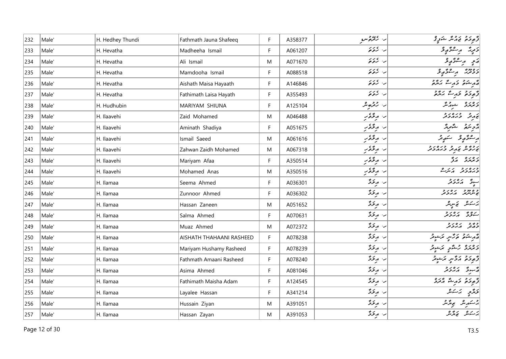| 232 | Male' | H. Hedhey Thundi | Fathmath Jauna Shafeeq   | F.          | A358377 | ر<br> ر. رتره سع     | قهوده ورمش خروي                       |
|-----|-------|------------------|--------------------------|-------------|---------|----------------------|---------------------------------------|
| 233 | Male' | H. Hevatha       | Madheeha Ismail          | F           | A061207 | ر به عرضی            |                                       |
| 234 | Male' | H. Hevatha       | Ali Ismail               | M           | A071670 | ر . ژوَه             | ړې ره د دي                            |
| 235 | Male' | H. Hevatha       | Mamdooha Ismail          | $\mathsf F$ | A088518 | ر به ترخانه          | رەددە بەر ئەر                         |
| 236 | Male' | H. Hevatha       | Aishath Maisa Hayaath    | $\mathsf F$ | A146846 | ر. ژوئ               | و مشرح و دعم دود                      |
| 237 | Male' | H. Hevatha       | Fathimath Laisa Hayath   | F           | A355493 | ر به عرضی            | توجوحه تزمرت برمزم                    |
| 238 | Male' | H. Hudhubin      | MARIYAM SHIUNA           | F           | A125104 | ر. رقره مگر          | ویروز شورهگ                           |
| 239 | Male' | H. Ilaavehi      | Zaid Mohamed             | M           | A046488 | ر بەر ئەۋر           | كالمجموعر ومردح وردح                  |
| 240 | Male' | H. Ilaavehi      | Aminath Shadiya          | F.          | A051675 | ر بەر ئۇر            | ג څر شو د شور پر                      |
| 241 | Male' | H. Ilaavehi      | Ismail Saeed             | M           | A061616 | ر به مرمح کار<br>مرم | برحوم و سکھی کر                       |
| 242 | Male' | H. Ilaavehi      | Zahwan Zaidh Mohamed     | M           | A067318 | ر به وڅور            | ו כשים המים כממכים                    |
| 243 | Male' | H. Ilaavehi      | Mariyam Afaa             | F           | A350514 | ر به ویڅو په         | و ده د و                              |
| 244 | Male' | H. Ilaavehi      | Mohamed Anas             | M           | A350516 | ر بەر ئۇغ            | ورەرو پەترى                           |
| 245 | Male' | H. Ilamaa        | Seema Ahmed              | F           | A036301 | ر. بروژ              | سوځ پر د د د                          |
| 246 | Male' | H. Ilamaa        | Zunnoor Ahmed            | F           | A036302 | ر. دیڅو              | כסמכ מסמכ<br>בייתייתיה המכנת          |
| 247 | Male' | H. Ilamaa        | Hassan Zaneen            | M           | A051652 | ار، ویژگی<br>—       | پرستمبر کا کامپریش                    |
| 248 | Male' | H. Ilamaa        | Salma Ahmed              | F.          | A070631 | ر. د د د د           | ستوفز أردونه                          |
| 249 | Male' | H. Ilamaa        | Muaz Ahmed               | M           | A072372 | ر. د د د د           | و ده و ده د و د<br>در حقیقی میکرد کرد |
| 250 | Male' | H. Ilamaa        | AISHATH THAHAANI RASHEED | F           | A078238 | ار، مۇۋ              | وأوجده وكرس لرجين                     |
| 251 | Male' | H. Ilamaa        | Mariyam Hushamy Rasheed  | F.          | A078239 | ار، مرتزقی           | رەرە ئىشى مەدر                        |
| 252 | Male' | H. Ilamaa        | Fathmath Amaani Rasheed  | F           | A078240 | ار، دیگر             | و و د د مرگه کرد و                    |
| 253 | Male' | H. Ilamaa        | Asima Ahmed              | $\mathsf F$ | A081046 | ر. دیڅو              | ه سوځ مړيروند                         |
| 254 | Male' | H. Ilamaa        | Fathimath Maisha Adam    | F           | A124545 | ر. برنزگ             | توجده وربث أزرد                       |
| 255 | Male' | H. Ilamaa        | Layalee Hassan           | F           | A341214 | ر. برنۇڭ             | أقامرتموا أيركبش                      |
| 256 | Male' | H. Ilamaa        | Hussain Ziyan            | M           | A391051 | ر. د د د             | برستهر شهر بورشر                      |
| 257 | Male' | H. Ilamaa        | Hassan Zayan             | M           | A391053 | ر. دیگر              | برسەش بۇرگىر                          |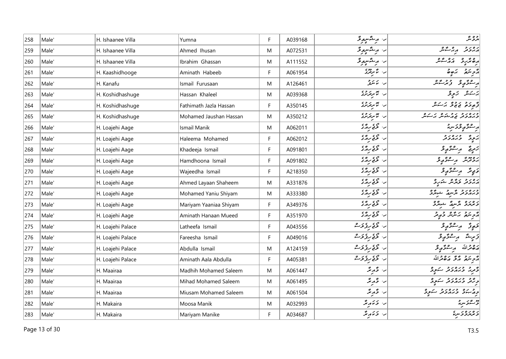| 258 | Male' | H. Ishaanee Villa | Yumna                  | E           | A039168 | ر. برڪسيونژ                                   | پرویژ                                                                                                           |
|-----|-------|-------------------|------------------------|-------------|---------|-----------------------------------------------|-----------------------------------------------------------------------------------------------------------------|
| 259 | Male' | H. Ishaanee Villa | Ahmed Ihusan           | M           | A072531 | ر رېشمبوژ                                     | ەرەر د<br>مەرمەشر                                                                                               |
| 260 | Male' | H. Ishaanee Villa | Ibrahim Ghassan        | M           | A111552 | ر. مەشكىبوۋ                                   | ەر ھەترىر 2<br>بر ھەترىر 2<br>ز بر <sub>م</sub> ر شهر                                                           |
| 261 | Male' | H. Kaashidhooge   | Aminath Habeeb         | E           | A061954 | ر . گەرىپرى<br>ر . گەرىپرى                    | أرمز<br>$\overset{\scriptscriptstyle\mathsf{--}}{\scriptscriptstyle\mathsf{--}}\!\hspace{-0.5pt}\mathsf{--}}\,$ |
| 262 | Male' | H. Kanafu         | Ismail Furusaan        | M           | A126461 | ر، ئەنترىق                                    | ر عۇرپۇ زىرگەر                                                                                                  |
| 263 | Male' | H. Koshidhashuge  | Hassan Khaleel         | M           | A039368 | ر. میمروز ده<br>ر                             | ىزىكى ئەيدى                                                                                                     |
| 264 | Male' | H. Koshidhashuge  | Fathimath Jazla Hassan | F           | A350145 | ر. میموتروی<br>مرتزمرد                        | و و د و د و د د کمک                                                                                             |
| 265 | Male' | H. Koshidhashuge  | Mohamed Jaushan Hassan | M           | A350212 | ر. مخبر تروی                                  | ورەر دېر دىكە ئەسكەر                                                                                            |
| 266 | Male' | H. Loajehi Aage   | Ismail Manik           | M           | A062011 | ر، گوڻي پروگا                                 | ە سىۋە پەنتى سرىد<br>ر                                                                                          |
| 267 | Male' | H. Loajehi Aage   | Haleema Mohamed        | F.          | A062012 | ر، نۇغ روي                                    | بزيرة<br>و ره ر و<br>تر پر ژنر                                                                                  |
| 268 | Male' | H. Loajehi Aage   | Khadeeja Ismail        | F           | A091801 | $rac{c_3}{c_3}\frac{c_3}{c_3}\frac{c_3}{c_3}$ | تَبِيعٌ پرڪوُڀو                                                                                                 |
| 269 | Male' | H. Loajehi Aage   | Hamdhoona Ismail       | F           | A091802 | ر، گوڻي پروگا                                 | ر ه دو پژ<br>بر <del>و</del> در سژ<br>وستورقو                                                                   |
| 270 | Male' | H. Loajehi Aage   | Wajeedha Ismail        | F           | A218350 | $rac{c_3}{c_3}\frac{c_3}{c_3}\frac{c_3}{c_3}$ | ۇيېتىر بېر ئەر                                                                                                  |
| 271 | Male' | H. Loajehi Aage   | Ahmed Layaan Shaheem   | M           | A331876 | ر. وه بروه                                    | رەر دېر دىر ھار <mark>د</mark> ىر                                                                               |
| 272 | Male' | H. Loajehi Aage   | Mohamed Yaniu Shiyam   | M           | A333380 | ر، دې ده ده                                   | ورەرو ئرسمە شەئرو                                                                                               |
| 273 | Male' | H. Loajehi Aage   | Mariyam Yaaniaa Shiyam | F           | A349376 | $rac{c_3}{c_4}\frac{c_5}{c_6}\frac{c_7}{c_8}$ | במתכ תייתו בחלב                                                                                                 |
| 274 | Male' | H. Loajehi Aage   | Aminath Hanaan Mueed   | F.          | A351970 | ر وه ده و                                     | أأدبره بمترش وأرو                                                                                               |
| 275 | Male' | H. Loajehi Palace | Latheefa Ismail        | $\mathsf F$ | A043556 | ر. ئۇق <sub>ەرب</sub> ۇ ئۇس <sup>ى</sup>      | خبج و مستخبر و                                                                                                  |
| 276 | Male' | H. Loajehi Palace | Fareesha Ismail        | F           | A049016 | ر، ئۇي <sub>ج</sub> رى ئەرگە                  | وستوفيو<br>ترىرىد                                                                                               |
| 277 | Male' | H. Loajehi Palace | Abdulla Ismail         | M           | A124159 | ر. دەروزى                                     | رَة قرالله مِ عَرَّمٍ وَ                                                                                        |
| 278 | Male' | H. Loajehi Palace | Aminath Aala Abdulla   | F           | A405381 | ر، دەرە دىن                                   | مُّحِسَعَ مُعَ مَعْقَدَاللَّهُ                                                                                  |
| 279 | Male' | H. Maairaa        | Madhih Mohamed Saleem  | M           | A061447 | ر، ڈرنڈ                                       | وٌ و دره دو سکود                                                                                                |
| 280 | Male' | H. Maairaa        | Mihad Mohamed Saleem   | M           | A061495 | ر، ڈرنڈ                                       | ورمز ورەرو سوۋ                                                                                                  |
| 281 | Male' | H. Maairaa        | Miusam Mohamed Saleem  | M           | A061504 | ر. ژٌربرٌ                                     | ومنتفر وبهدوند سورة                                                                                             |
| 282 | Male' | H. Makaira        | Moosa Manik            | M           | A032993 | ر. ئەنەپەتى                                   | دو پر دی <sub>م</sub>                                                                                           |
| 283 | Male' | H. Makaira        | Mariyam Manike         | F           | A034687 | ر بە ئەرىتى                                   | ر ه ر ه ر په<br><del>د</del> بربرو د سربا                                                                       |
|     |       |                   |                        |             |         |                                               |                                                                                                                 |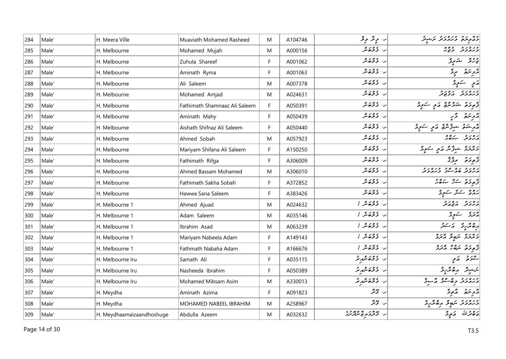| 284 | Male' | H. Meera Ville            | Muaviath Mohamed Rasheed      | M           | A104746 | ر. د پژ ویژ                             | وه رو وره رو برشود                           |
|-----|-------|---------------------------|-------------------------------|-------------|---------|-----------------------------------------|----------------------------------------------|
| 285 | Male' | H. Melbourne              | Mohamed Mujah                 | M           | A000156 | ر، نوپۇھەش                              |                                              |
| 286 | Male' | H. Melbourne              | Zuhula Shareef                | F           | A001062 | ر، ئەۋەش                                | چرىخ شەمرى <sub>ۋ</sub>                      |
| 287 | Male' | H. Melbourne              | Aminath Ryma                  | F           | A001063 | ر، نوپوړه ک                             | ړٌ پر پر پر د                                |
| 288 | Male' | H. Melbourne              | Ali Saleem                    | M           | A007378 | ر، ووص                                  | ړنو شوده                                     |
| 289 | Male' | H. Melbourne              | Mohamed Amjad                 | M           | A024631 | ر، نوپۇھىر                              | ورەرو رەرو<br><i>دىد</i> رونر مە <i>ون</i> ى |
| 290 | Male' | H. Melbourne              | Fathimath Shamnaaz Ali Saleem | F           | A050391 | ر، ئەۋەش                                | و و ده ده مړه کې د کوده                      |
| 291 | Male' | H. Melbourne              | Aminath Mahy                  | F           | A050439 | ر، ووەش                                 |                                              |
| 292 | Male' | H. Melbourne              | Aishath Shifnaz Ali Saleem    | F           | A050440 | ر، ووەش                                 | و رو و ر<br>مرسم و ر<br>مرشم شوهشی می سود    |
| 293 | Male' | H. Melbourne              | Ahmed Sobah                   | M           | A057923 | ر، نوپوهنگر                             | رەرد بەرە                                    |
| 294 | Male' | H. Melbourne              | Mariyam Shifana Ali Saleem    | F           | A150250 | ر، نوپوهنگر                             | د ۱۵۷۵ هورمند کامو سکوچ                      |
| 295 | Male' | H. Melbourne              | Fathimath Rifga               | F           | A306009 | ر، نوپوهنگر                             | وٌجوحَمَ بروْتٌو                             |
| 296 | Male' | H. Melbourne              | Ahmed Bassam Mohamed          | M           | A306010 | ر، نوپۇھىر                              |                                              |
| 297 | Male' | H. Melbourne              | Fathimath Sakha Sobah         | F           | A372852 | ر، ئەۋەش                                | وُمِ وَمَحْمٍ سَنَرٌ سِنَ مَدَ               |
| 298 | Male' | H. Melbourne              | Hawwa Sana Saleem             | F           | A383426 | ر، ووەش                                 | پروی کے مگر کے بیرو                          |
| 299 | Male' | H. Melbourne 1            | Ahmed Ajuad                   | M           | A024632 | ر. د ده ش ا                             | ג פיני הפיני.<br>ההכני הבבה                  |
| 300 | Male' | H. Melbourne 1            | Adam Saleem                   | M           | A035146 | $1 - 222 - 1$                           | پر سر سکوچ                                   |
| 301 | Male' | H. Melbourne 1            | Ibrahim Asad                  | M           | A063239 | $1 - 222 - 1$                           | مەھترىر مەسىر                                |
| 302 | Male' | H. Melbourne 1            | Mariyam Nabeela Adam          | F           | A149143 | 1.995.                                  | رەرە شھۇ مەدە                                |
| 303 | Male' | H. Melbourne 1            | Fathmath Nabaha Adam          | F           | A166676 | 1.995.                                  | 3 12 24 25 27                                |
| 304 | Male' | H. Melbourne Iru          | Samath Ali                    | $\mathsf F$ | A035115 | ر. ۇۋەشمەتر                             | $rac{2}{3}$                                  |
| 305 | Male' | H. Melbourne Iru          | Nasheeda Ibrahim              | F           | A050389 | ر. ووەھىرىم                             | <del>ب</del> رَجو <i>د و میگر</i> د          |
| 306 | Male' | H. Melbourne Iru          | Mohamed Mibsam Asim           | ${\sf M}$   | A330013 | ، دوەشمەتر                              | כנסגב כם כם הברית                            |
| 307 | Male' | H. Meydha                 | Aminath Azima                 | F.          | A091823 | ر. میخو                                 | أأروسكم أأأموخ                               |
| 308 | Male' | H. Meydha                 | MOHAMED NABEEL IBRAHIM        | M           | A258967 | ر به مینچ                               | כנסגב תוסיב תסיבת                            |
| 309 | Male' | H. Meydhaamaizaandhoshuge | Abdulla Azeem                 | M           | A032632 | ے جار ہے جا بدو ہ<br>رد کے فرح پر فرمزی | أرة قرالله كرموم                             |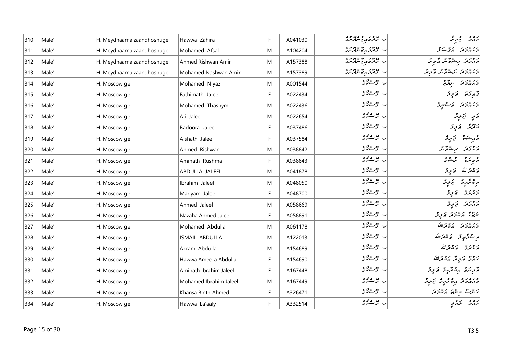| 310 | Male' | H. Meydhaamaizaandhoshuge | Hawwa Zahira           | F. | A041030 | ے پر در پر ویر وے<br>رس تر تر تر بر شریر دی    | ره ده پخ رنگ                                 |
|-----|-------|---------------------------|------------------------|----|---------|------------------------------------------------|----------------------------------------------|
| 311 | Male' | H. Meydhaamaizaandhoshuge | Mohamed Afsal          | M  | A104204 | ے پر در پر ہ پر و ہ<br>ر کے ترور پچ سرتر سری   | ورەرو رەپرە<br><i>دىدە</i> رىر م <i>ۆ</i> جى |
| 312 | Male' | H. Meydhaamaizaandhoshuge | Ahmed Rishwan Amir     | M  | A157388 |                                                | رەر دېدە ئەھەر دېگر                          |
| 313 | Male' | H. Meydhaamaizaandhoshuge | Mohamed Nashwan Amir   | M  | A157389 | ے پر در پر ویر وے<br>رسمبر تر تر تر تر تر تر ی | ورەر وەرە ئەرەپە                             |
| 314 | Male' | H. Moscow ge              | Mohamed Niyaz          | M  | A001544 | ر، پی شروع ی                                   | כנסנכ יטלם                                   |
| 315 | Male' | H. Moscow ge              | Fathimath Jaleel       | F  | A022434 | ر، پی شروع ی                                   | أَدْجِرَةُ وَكَمْ يَحْرِ                     |
| 316 | Male' | H. Moscow ge              | Mohamed Thasnym        | M  | A022436 | ر، پیچ مصری                                    | ورەرو رەسرو                                  |
| 317 | Male' | H. Moscow ge              | Ali Jaleel             | M  | A022654 | ر، پیچ مصری                                    | أركمني أتكفي والمحر                          |
| 318 | Male' | H. Moscow ge              | Badoora Jaleel         | F  | A037486 | ر. پیچە مەم ئ                                  | ردد تر تر تر تر                              |
| 319 | Male' | H. Moscow ge              | Aishath Jaleel         | F. | A037584 | ر. پی ۵۵۰ و                                    | أأرم المستكم والمحافي                        |
| 320 | Male' | H. Moscow ge              | Ahmed Rishwan          | M  | A038842 | ر، پیچ مصری                                    | رەرد برىشەھ                                  |
| 321 | Male' | H. Moscow ge              | Aminath Rushma         | F  | A038843 | ر. پیچە مەم ئ                                  | أأروبتهم المرشوح                             |
| 322 | Male' | H. Moscow ge              | ABDULLA JALEEL         | M  | A041878 | ر، پیچ دہ ہی                                   | أَرَّةٍ مِّرَّاللَّهُ ۖ مَوْ مِرْ            |
| 323 | Male' | H. Moscow ge              | Ibrahim Jaleel         | M  | A048050 | ر، بی هره و                                    | ە ھەترىر <sup>ى</sup><br>تح وٍ وَ ک          |
| 324 | Male' | H. Moscow ge              | Mariyam Jaleel         | F. | A048700 | ر، پی شروع ی                                   | ر ه ر ه<br>د بربرگ<br>تع و د گ               |
| 325 | Male' | H. Moscow ge              | Ahmed Jaleel           | M  | A058669 | ر. پیچە مەم ئ                                  | رەرى قرو                                     |
| 326 | Male' | H. Moscow ge              | Nazaha Ahmed Jaleel    | F. | A058891 | ر، پی شروع ی                                   | بروس برورد بالمحافي                          |
| 327 | Male' | H. Moscow ge              | Mohamed Abdulla        | M  | A061178 | ر، پی شروع ی                                   | وره رو ده دالله                              |
| 328 | Male' | H. Moscow ge              | ISMAIL ABDULLA         | M  | A122013 | ر. پی شروع                                     | مرعوً موقى مكافرالله                         |
| 329 | Male' | H. Moscow ge              | Akram Abdulla          | M  | A154689 | ر. پی شروع                                     | بره بره بره قرالله                           |
| 330 | Male' | H. Moscow ge              | Hawwa Ameera Abdulla   | F. | A154690 | ر. پیچ مشرع ی                                  | بروء برج قد وكامرالله                        |
| 331 | Male' | H. Moscow ge              | Aminath Ibrahim Jaleel | F. | A167448 | ر. پیچە مەم ئ                                  | أزوينه وهتربرد فيجيز                         |
| 332 | Male' | H. Moscow ge              | Mohamed Ibrahim Jaleel | M  | A167449 | ر. پیچە مەم ئ                                  | ورەرو رەپرىر قوچ                             |
| 333 | Male' | H. Moscow ge              | Khansa Binth Ahmed     | F. | A326471 | ر. پی شروع ی                                   | ر مرگ صرح بره بر د                           |
| 334 | Male' | H. Moscow ge              | Hawwa La'aaly          | F. | A332514 | ر. پوه ده کا                                   | برە ئەتەپ                                    |
|     |       |                           |                        |    |         |                                                |                                              |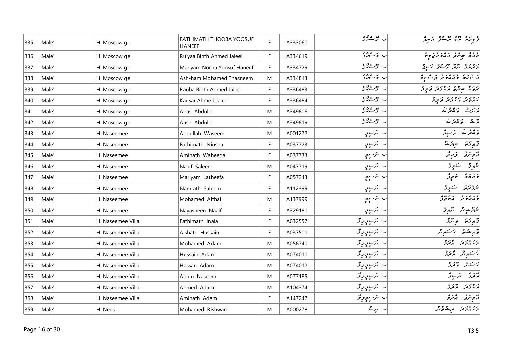| 335 | Male' | H. Moscow ge      | <b>FATHIMATH THOOBA YOOSUF</b><br><b>HANEEF</b> | F           | A333060 | ر. پیچ شمای              | و د د ده د ده و لسرو                                              |
|-----|-------|-------------------|-------------------------------------------------|-------------|---------|--------------------------|-------------------------------------------------------------------|
| 336 | Male' | H. Moscow ge      | Ru'yaa Binth Ahmed Jaleel                       | F.          | A334619 | ر. پوه ده د              | ככל פיתם גם גבנים                                                 |
| 337 | Male' | H. Moscow ge      | Mariyam Noora Yoosuf Haneef                     | F.          | A334729 | ر. پیچ ده پی             | גם גם ככל ככבים העורבים.<br>בימו <i>ניב</i> יינים ומערבים העורבים |
| 338 | Male' | H. Moscow ge      | Ash-ham Mohamed Thasneem                        | M           | A334813 | ر. پیچ ده پی             | ر وره دره در رومره                                                |
| 339 | Male' | H. Moscow ge      | Rauha Binth Ahmed Jaleel                        | F.          | A336483 | ر. پوه ده د              | بروي كاللهج كالرود فأورقه                                         |
| 340 | Male' | H. Moscow ge      | Kausar Ahmed Jaleel                             | F           | A336484 | ر. پوه ده د              | ני כן כן כן כן לקב                                                |
| 341 | Male' | H. Moscow ge      | Anas Abdulla                                    | M           | A349806 | ر. پوه ده د              | مَسَرَعْ مَصْعَرَاللّه                                            |
| 342 | Male' | H. Moscow ge      | Aash Abdulla                                    | M           | A349819 | ر. پوه ده د              | مَّشْهُ مَهْ مَرْاللَّه                                           |
| 343 | Male' | H. Naseemee       | Abdullah Waseem                                 | M           | A001272 | ر. سگرسور<br>ا           | مَدْهُ مَرْاللّه وَ وَ                                            |
| 344 | Male' | H. Naseemee       | Fathimath Niusha                                | F           | A037723 | ر گرسور<br>مستق          | أَوْجِودَهُ سِيرَ اللَّهُ                                         |
| 345 | Male' | H. Naseemee       | Aminath Waheeda                                 | F           | A037733 | ر آگر سوچ<br>مراجع       | أأروبتكم وكالميقر                                                 |
| 346 | Male' | H. Naseemee       | Naaif Saleem                                    | M           | A047719 | ر، مترسور<br>من          | ىئىر ۋ<br>سەمەيە                                                  |
| 347 | Male' | H. Naseemee       | Mariyam Latheefa                                | F.          | A057243 | ر<br>ابن متوسع و<br>مقبر | ر ه پر ه<br><del>ر</del> بربرگ<br>ځږوگ                            |
| 348 | Male' | H. Naseemee       | Namrath Saleem                                  | $\mathsf F$ | A112399 | ر، مگر سور<br>محمد       | ىرە يە ج<br>سرچ بىر <i>ە</i><br>سەرد                              |
| 349 | Male' | H. Naseemee       | Mohamed Althaf                                  | M           | A137999 | ر، مترسور<br>ا           | وره رو ده ده<br><del>و</del> برم <b>رمر مرج</b> وز                |
| 350 | Male' | H. Naseemee       | Nayasheen Naaif                                 | F.          | A329181 | ر، سرگرد<br>ع            | ىترگەشىشى ئىگىرۇ                                                  |
| 351 | Male' | H. Naseemee Villa | Fathimath Inala                                 | F           | A032557 | ر. ئىز ئىسور بۇ          | أقهوم ويتمع                                                       |
| 352 | Male' | H. Naseemee Villa | Aishath Hussain                                 | F           | A037501 | ر. سَرَسوچ و گ           | مەر شىم بىر شىر بىر                                               |
| 353 | Male' | H. Naseemee Villa | Mohamed Adam                                    | M           | A058740 | ر. سَرَسوچ و گ           | ورەر د درە<br><i>دىد</i> ەرىر مەد <i>ر</i>                        |
| 354 | Male' | H. Naseemee Villa | Hussain Adam                                    | M           | A074011 | ر، سرسوه و ژ             | جر مسکور مدور در حر                                               |
| 355 | Male' | H. Naseemee Villa | Hassan Adam                                     | M           | A074012 | ر. سڪر پڻ پورگ           |                                                                   |
| 356 | Male' | H. Naseemee Villa | Adam Naseem                                     | M           | A077185 | ر. سڪر پوه وگ            | و دره سرب و                                                       |
| 357 | Male' | H. Naseemee Villa | Ahmed Adam                                      | M           | A104374 | ر. سڪسوچ وگ              | بر ه بر د<br>م <i>ر</i> بر <del>د</del> ر<br>پور ہ<br>مرکزو       |
| 358 | Male' | H. Naseemee Villa | Aminath Adam                                    | $\mathsf F$ | A147247 | ر، سڪريو وگ              | ړې شره په ډېره                                                    |
| 359 | Male' | H. Nees           | Mohamed Rishwan                                 | M           | A000278 | ر. سرم<br>__ *           | ورەرو بررەپەر<br><i>ورەدەن بر</i> ىشو <i>ۋىن</i> ر                |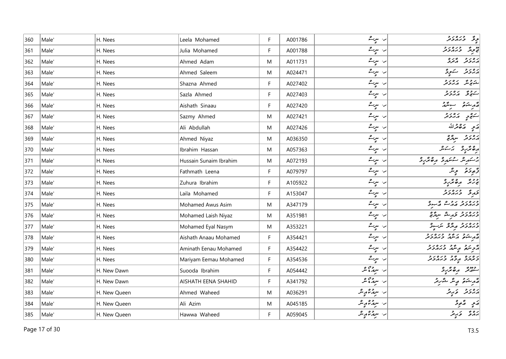| 360 | Male' | H. Nees      | Leela Mohamed              | F  | A001786 | ر. سرم<br><u>شد</u>                                    | و پژه دره درو                                           |
|-----|-------|--------------|----------------------------|----|---------|--------------------------------------------------------|---------------------------------------------------------|
| 361 | Male' | H. Nees      | Julia Mohamed              | F. | A001788 | ر. سرم<br>—                                            | ود مریمر<br>  فع عربرگر<br>ور ه ر و<br><i>د ب</i> رگرفر |
| 362 | Male' | H. Nees      | Ahmed Adam                 | M  | A011731 | ر. سرگ                                                 | بره بر و بره                                            |
| 363 | Male' | H. Nees      | Ahmed Saleem               | M  | A024471 | ار. سرچ<br>ڪ                                           | رەرو سكوپ                                               |
| 364 | Male' | H. Nees      | Shazna Ahmed               | F  | A027402 | ر. سرم<br>نے                                           | شەر ئەرەر دەرد                                          |
| 365 | Male' | H. Nees      | Sazla Ahmed                | F  | A027403 | ر. سرچ<br>ڪ                                            | سەي ئەرەر دەر                                           |
| 366 | Male' | H. Nees      | Aishath Sinaau             | F  | A027420 |                                                        | وكرمشكم سوستر                                           |
| 367 | Male' | H. Nees      | Sazmy Ahmed                | M  | A027421 | ار. سرچ<br>ڪ                                           | شهج د مارد و                                            |
| 368 | Male' | H. Nees      | Ali Abdullah               | M  | A027426 | ر. سرم                                                 | أصَعِ صَدَّقَدَاللَّهُ                                  |
| 369 | Male' | H. Nees      | Ahmed Niyaz                | M  | A036350 | ر. سرچ<br>ڪ                                            | د ۱۵ د مرسمه                                            |
| 370 | Male' | H. Nees      | Ibrahim Hassan             | M  | A057363 | ر. سرم<br>——                                           | مەھرىرى بەسكىر                                          |
| 371 | Male' | H. Nees      | Hussain Sunaim Ibrahim     | M  | A072193 | ر. سرم<br>ڪ                                            | يز سكر مكر من المستخرج المستخرج و                       |
| 372 | Male' | H. Nees      | Fathmath Leena             | F  | A079797 | ار. سرچ<br>ڪ                                           | ۇۋەدە بېتر                                              |
| 373 | Male' | H. Nees      | Zuhura Ibrahim             | F  | A105922 | ر. سرچ<br>ڪ                                            |                                                         |
| 374 | Male' | H. Nees      | Laila Mohamed              | F  | A153047 | ار. سرچ<br>ڪ                                           | كورگر ورەرو                                             |
| 375 | Male' | H. Nees      | Mohamed Awus Asim          | M  | A347179 | ر. سرم<br>ڪ                                            | כנסגב גבם בהפ                                           |
| 376 | Male' | H. Nees      | Mohamed Laish Niyaz        | M  | A351981 | ر. سرگ<br>ڪ                                            | ورورو ترمث سرده                                         |
| 377 | Male' | H. Nees      | Mohamed Eyal Nasym         | M  | A353221 | ر. سرم                                                 | ورەرو مەد ئىر                                           |
| 378 | Male' | H. Nees      | Aishath Anaau Mohamed      | F. | A354421 | ار. سرچ<br>ڪ                                           | أشهر شده و در ۲۵ در و                                   |
| 379 | Male' | H. Nees      | Aminath Eenau Mohamed      | F  | A354422 | ار. سرم<br>ڪ                                           | הכיתה הייתה כמחכת                                       |
| 380 | Male' | H. Nees      | Mariyam Eemau Mohamed      | F  | A354536 | ر. سرم<br>— "                                          | ג סגם נגד כגם גב                                        |
| 381 | Male' | H. New Dawn  | Suooda Ibrahim             | F  | A054442 | ر. سرچيمگر                                             | בחינה תפיתיק                                            |
| 382 | Male' | H. New Dawn  | <b>AISHATH EENA SHAHID</b> | F  | A341792 | $\frac{\partial \mathcal{C}_{2}}{\partial \mathbf{r}}$ | أقهر ينكفح ويتكر يتكريني                                |
| 383 | Male' | H. New Queen | Ahmed Waheed               | M  | A036291 | ر. سرونامرینگ                                          | پروتر کرېدتر                                            |
| 384 | Male' | H. New Queen | Ali Azim                   | M  | A045185 | ر. سرچم په ش                                           | أمدمج مدحوحه                                            |
| 385 | Male' | H. New Queen | Hawwa Waheed               | F  | A059045 | ر. سرونامرینگ                                          | رەپە كەبەر                                              |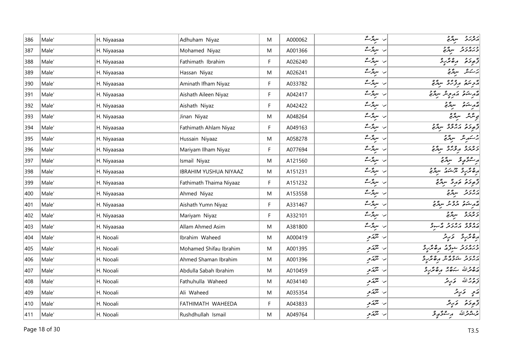| 386 | Male' | H. Niyaasaa | Adhuham Niyaz                | M           | A000062 | ر. سرگە گ   | سرگرمج<br>برەرىر                          |
|-----|-------|-------------|------------------------------|-------------|---------|-------------|-------------------------------------------|
| 387 | Male' | H. Niyaasaa | Mohamed Niyaz                | M           | A001366 | ر. سرگە ئە  | سرور<br>و رە ر د<br><i>د ب</i> رگەنز      |
| 388 | Male' | H. Niyaasaa | Fathimath Ibrahim            | $\mathsf F$ | A026240 | ر. سرگرگ    | ە ھەترىر <sup>ە</sup><br>ۇ بوز ئە         |
| 389 | Male' | H. Niyaasaa | Hassan Niyaz                 | M           | A026241 | ر. سرگرگ    | ئەسەش سۇرىج                               |
| 390 | Male' | H. Niyaasaa | Aminath Ifham Niyaz          | F           | A033782 | ر. سرگرگ    | أأدينه أروموه للمرامح                     |
| 391 | Male' | H. Niyaasaa | Aishath Aileen Niyaz         | $\mathsf F$ | A042417 | ر. سرگرگ    | ג'ו בים ג'ו בית יטלים                     |
| 392 | Male' | H. Niyaasaa | Aishath Niyaz                | F           | A042422 | ر. سرگرگ    | وكرك في المركز                            |
| 393 | Male' | H. Niyaasaa | Jinan Niyaz                  | M           | A048264 | ر. سرگرگ    | محریش سرمزی                               |
| 394 | Male' | H. Niyaasaa | Fathimath Ahlam Niyaz        | F           | A049163 | ر. سرگە ئە  | توجده مدنود سر                            |
| 395 | Male' | H. Niyaasaa | Hussain Niyaaz               | M           | A058278 | ر. سرگرگ    | ر مس <sub>ور</sub> شرور برانده<br>مسالم   |
| 396 | Male' | H. Niyaasaa | Mariyam Ilham Niyaz          | F           | A077694 | ر. سرگرگ    | ويرود وورو سرو                            |
| 397 | Male' | H. Niyaasaa | Ismail Niyaz                 | M           | A121560 | ر. سرگرگ    | و څوگړی سرگړ                              |
| 398 | Male' | H. Niyaasaa | <b>IBRAHIM YUSHUA NIYAAZ</b> | M           | A151231 | ر. سرگرگ    | תפתוב תיית יית                            |
| 399 | Male' | H. Niyaasaa | Fathimath Thaima Niyaaz      | $\mathsf F$ | A151232 | ر. سرگرگ    | و و د و مرد و سرگاه                       |
| 400 | Male' | H. Niyaasaa | Ahmed Niyaz                  | M           | A153558 | ر. سرگە ئە  | גפיק תוצר                                 |
| 401 | Male' | H. Niyaasaa | Aishath Yumn Niyaz           | F           | A331467 | ر. سرگرگ    | הו לי כם בי יותר                          |
| 402 | Male' | H. Niyaasaa | Mariyam Niyaz                | F           | A332101 | ر. سرگرگ    | במחב ייחלב                                |
| 403 | Male' | H. Niyaasaa | Allam Ahmed Asim             | M           | A381800 | ار.<br>است  | נים בי הביבה הייבר                        |
| 404 | Male' | H. Nooali   | Ibrahim Waheed               | M           | A000419 | ر. متندَمِ  | وە ئۇرۇ بۇ بو                             |
| 405 | Male' | H. Nooali   | Mohamed Shifau Ibrahim       | M           | A001395 | ابن متزمزمو | כנים הב להב הפיתים                        |
| 406 | Male' | H. Nooali   | Ahmed Shaman Ibrahim         | M           | A001396 | ر. تترمز    | גם גב גם גם גם גם גם<br>גגבת شوכבית גם גב |
| 407 | Male' | H. Nooali   | Abdulla Sabah Ibrahim        | M           | A010459 | سا چېمنو    | رە داللە جۇھ مەھەرد                       |
| 408 | Male' | H. Nooali   | Fathuhulla Waheed            | ${\sf M}$   | A034140 | ر قبيد و    | وحرجه الله عربية                          |
| 409 | Male' | H. Nooali   | Ali Waheed                   | M           | A035354 | ر. چې په    | ړې وړي <sub>د</sub>                       |
| 410 | Male' | H. Nooali   | FATHIMATH WAHEEDA            | F           | A043833 | ر. متندَمِ  | وٌودة وَرِمَّدٌ                           |
| 411 | Male' | H. Nooali   | Rushdhullah Ismail           | M           | A049764 | ر. چې په    | بر شوترالله بر صوّ پر و                   |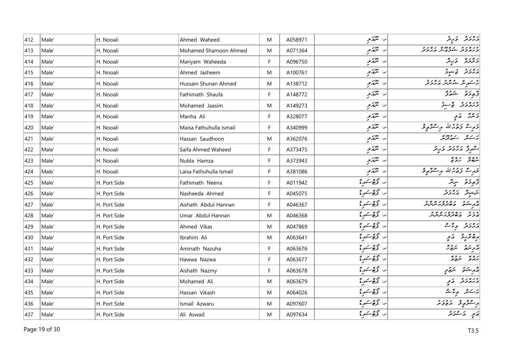| 412 | Male' | H. Nooali    | Ahmed Waheed            | M | A058971 | ر، شمەھ       | دەر د كەرد                                                                                                     |
|-----|-------|--------------|-------------------------|---|---------|---------------|----------------------------------------------------------------------------------------------------------------|
| 413 | Male' | H. Nooali    | Mohamed Shamoon Ahmed   | M | A071364 | ر. شەر ئە     | وره رود ره ده ده رو<br><i>وب</i> ه روس شوه س مبروتر                                                            |
| 414 | Male' | H. Nooali    | Mariyam Waheeda         | F | A096750 | ر، متمدّمو    | دەرە ئەيدىگە                                                                                                   |
| 415 | Male' | H. Nooali    | Ahmed Jasheem           | M | A100761 | ر. متندَمِ    | د ۱۵ د ح شوڅ                                                                                                   |
| 416 | Male' | H. Nooali    | Hussain Shunan Ahmed    | M | A138712 | ر. متمدّمة    |                                                                                                                |
| 417 | Male' | H. Nooali    | Fathimath Shaufa        | F | A148772 | ر چې په       | و محمد المعاملة المحمدة المحمدة المحمدة المحمدة المحمدة المحمدة المحمدة المحمدة المحمدة المحمدة المحمدة المحمد |
| 418 | Male' | H. Nooali    | Mohamed Jaasim          | M | A149273 | بالمتعجز      | ورەرو ئەسو                                                                                                     |
| 419 | Male' | H. Nooali    | Manha Ali               | F | A328077 | ر. متندَمِ    | ئەشرىتە كەيچە                                                                                                  |
| 420 | Male' | H. Nooali    | Maisa Fathuhulla Ismail | F | A340999 | ر میندو       | خدع وخوبرالله ويحفظ ويحر                                                                                       |
| 421 | Male' | H. Nooali    | Hassan Saudhoon         | M | A362076 | ر قبيد بر     | پر کے مردوم                                                                                                    |
| 422 | Male' | H. Nooali    | Saifa Ahmed Waheed      | F | A373475 | ر، متمدّمو    | الشمرة المره والمحدد المحدد المحدد المحمد المستجمدة المحمد المحمد المحمد المحمد المحمد المحمد المحمد           |
| 423 | Male' | H. Nooali    | Nubla Hamza             | F | A373943 | ر. تتمه بر    | روه ژوځ                                                                                                        |
| 424 | Male' | H. Nooali    | Laisa Fathuhulla Ismail | F | A381086 | ر. چې په      | خدر محمد وحوالله وحقوقي فلمحمد                                                                                 |
| 425 | Male' | H. Port Side | Fathimath Neena         | F | A011942 | $\frac{1}{2}$ | قەدىق سېڭر                                                                                                     |
| 426 | Male' | H. Port Side | Nasheeda Ahmed          | F | A045075 | ر، جۇھ سەر ؟  | أنتربشيفكر المركزونر                                                                                           |
| 427 | Male' | H. Port Side | Aishath Abdul Hannan    | F | A046367 | $2.0 - 2.0$   | ه د د ده ده ده ده و<br>په دشوی په هنرم در سرس                                                                  |
| 428 | Male' | H. Port Side | Umar Abdul Hannan       | M | A046368 | ر، جۇھ سەر ج  | در د ده ده ده د د د                                                                                            |
| 429 | Male' | H. Port Side | Ahmed Vikas             | M | A047869 | ر، بۇھ سەر ؟  | رەرد ونڈے                                                                                                      |
| 430 | Male' | H. Port Side | Ibrahim Ali             | M | A063641 | $\frac{1}{2}$ | رە ئۆر ئەير                                                                                                    |
| 431 | Male' | H. Port Side | Aminath Nazuha          | F | A063676 | ر. جۇھ سەر ج  | أأدبره<br>سرچ گ                                                                                                |
| 432 | Male' | H. Port Side | Hawwa Nazwa             | F | A063677 | $\frac{1}{2}$ | رە بەردە<br>بەرە سىرە                                                                                          |
| 433 | Male' | H. Port Side | Aishath Nazmy           | F | A063678 | ر. جۇھ سەر ج  | م الله عن الله عليه الله عليه الله عليه الله عليه الله عليه الله عليه الله عليه الله عليه الله عليه            |
| 434 | Male' | H. Port Side | Mohamed Ali             | M | A063679 | ر. جۇھ سەر ج  | ورەرو كې                                                                                                       |
| 435 | Male' | H. Port Side | Hassan Vikash           | M | A064026 | ر، جوھ سرم ہ  | برسكش عبرتمشه                                                                                                  |
| 436 | Male' | H. Port Side | Ismail Azwaru           | M | A097607 | $2.4 - 2.7$   | وسنؤوع وبالمعالم                                                                                               |
| 437 | Male' | H. Port Side | Ali Aswad               | M | A097634 | ر، جۇھ سىردى  | أەسم بەر ئەرە                                                                                                  |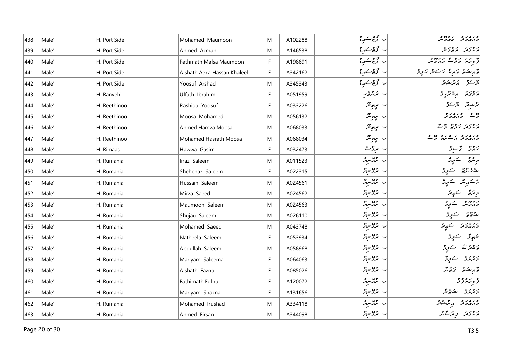| 438 | Male' | H. Port Side | Mohamed Maumoon             | M         | A102288 | ربه وه شهره        | כנסנכ נכחם<br>כגובת בובית               |
|-----|-------|--------------|-----------------------------|-----------|---------|--------------------|-----------------------------------------|
| 439 | Male' | H. Port Side | Ahmed Azman                 | M         | A146538 | 8,0.00             | גפגב גפגם.<br>גגבת גבבית                |
| 440 | Male' | H. Port Side | Fathmath Malsa Maumoon      | F         | A198891 | $2, -2, -1$        | و د د ده په دوده                        |
| 441 | Male' | H. Port Side | Aishath Aeka Hassan Khaleel | F         | A342162 | $2, -2, -1$        | ړٌږ شَهُ دَرِءٌ لَاسَانګر دَرِدُ        |
| 442 | Male' | H. Port Side | Yoosuf Arshad               | M         | A345343 | $\frac{1}{2}$      | دو وه در در د<br>پرسونی پر پر شوتر      |
| 443 | Male' | H. Ranvehi   | Ulfath Ibrahim              | F         | A051959 | ر بره و .          | وورد وهريرو                             |
| 444 | Male' | H. Reethinoo | Rashida Yoosuf              | F         | A033226 | ر. موجومبر<br>په س | ئۇ شەنگە تەرىخ<br>مۇشەنگە تەرىخى        |
| 445 | Male' | H. Reethinoo | Moosa Mohamed               | ${\sf M}$ | A056132 | ر، بره مر<br>په م  | ووقع وره د و                            |
| 446 | Male' | H. Reethinoo | Ahmed Hamza Moosa           | ${\sf M}$ | A068033 | ر. بره متر<br>پهر  | גפגב גם 2 מש.<br>גגבע גבש ביי           |
| 447 | Male' | H. Reethinoo | Mohamed Hasrath Moosa       | M         | A068034 | ر. بره متر<br>په م | ورەر دېرەرد «م                          |
| 448 | Male' | H. Rimaas    | Hawwa Gasim                 | F         | A032473 | ار. برومي<br>ا     | برەپ پچ سوچ                             |
| 449 | Male' | H. Rumania   | Inaz Saleem                 | M         | A011523 | ر. برد سرگر        | ېرىنى سەردۇ                             |
| 450 | Male' | H. Rumania   | Shehenaz Saleem             | F         | A022315 | ر وي سرگر          | ے کا محرم<br>مشرک ملزم<br>سەرد          |
| 451 | Male' | H. Rumania   | Hussain Saleem              | M         | A024561 | ر. بردس پر         | چرىسى سىموۋ                             |
| 452 | Male' | H. Rumania   | Mirza Saeed                 | ${\sf M}$ | A024562 | ر. بروسرگر         | وبرنج سكهرش                             |
| 453 | Male' | H. Rumania   | Maumoon Saleem              | ${\sf M}$ | A024563 | ر. بردس پر         | גביקים התקר                             |
| 454 | Male' | H. Rumania   | Shujau Saleem               | M         | A026110 | ر. برد سرگر        | شوق پر<br>سەرد                          |
| 455 | Male' | H. Rumania   | Mohamed Saeed               | M         | A043748 | ر. برد سرگر        | و ره ر د<br><i>و پر</i> پر تر<br>سکھرتر |
| 456 | Male' | H. Rumania   | Natheela Saleem             | F         | A053934 | ر وي مرد           | شَهِرَةٌ   سَنَوِرْ                     |
| 457 | Male' | H. Rumania   | Abdullah Saleem             | M         | A058968 | ر. بروسرد          | ەھىراللە<br>سەرد                        |
| 458 | Male' | H. Rumania   | Mariyam Saleema             | F         | A064063 | ر. بردس پر         | ر ه ر ه<br><del>ر</del> بربر و<br>سەرچ  |
| 459 | Male' | H. Rumania   | Aishath Fazna               | F         | A085026 | ر. بروسرگر         | ۇرىشكە ئەتمىگە                          |
| 460 | Male' | H. Rumania   | Fathimath Fulhu             | F         | A120072 | ر. بردس پر         | ا ژ <sub>ېبو</sub> خ تورو               |
| 461 | Male' | H. Rumania   | Mariyam Shazna              | F         | A131656 | ر. برد سرگر        | رەرە شەھ<br>تەبرىرى شەھ ش               |
| 462 | Male' | H. Rumania   | Mohamed Irushad             | M         | A334118 | ر برد میر          | ورەر د در دور<br><i>دېرم</i> وتر گرمزشگ |
| 463 | Male' | H. Rumania   | Ahmed Firsan                | ${\sf M}$ | A344098 | ر. برد سرگر        | رەرە پەرشىر                             |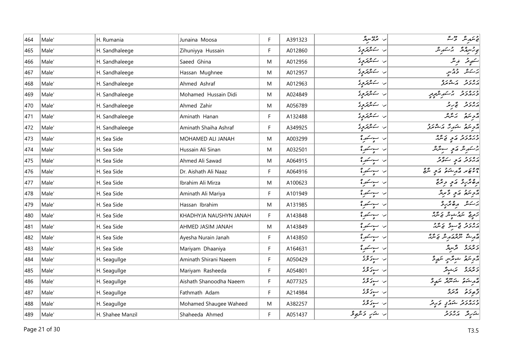| 464 | Male' | H. Rumania       | Junaina Moosa           | F  | A391323 | ر. بروسرد        | و بر مرکز و دیگر<br>م                                                                                |
|-----|-------|------------------|-------------------------|----|---------|------------------|------------------------------------------------------------------------------------------------------|
| 465 | Male' | H. Sandhaleege   | Zihuniyya Hussain       | F. | A012860 | ر. سەھەرىپە      | ي شهد شهر محمد شهر محمد بر                                                                           |
| 466 | Male' | H. Sandhaleege   | Saeed Ghina             | M  | A012956 | ر. ڪنگهڙموِرَ    | سنهپقر اربیگر                                                                                        |
| 467 | Male' | H. Sandhaleege   | Hassan Mughnee          | M  | A012957 | ر. سەھەرىپە      | ير شهر المحادثين                                                                                     |
| 468 | Male' | H. Sandhaleege   | Ahmed Ashraf            | M  | A012963 | ر. سەھەترىپەتى   | ره رو بر ۱۵ ره<br>پرېدن پر شوبرتی                                                                    |
| 469 | Male' | H. Sandhaleege   | Mohamed Hussain Didi    | M  | A024849 | ر. سەھەرىپە      | دره در در محرک میگیرد.<br>  در پردوند در محسن می                                                     |
| 470 | Male' | H. Sandhaleege   | Ahmed Zahir             | M  | A056789 | ر. سەنكەتلەر ئ   | أرور و المج بالمجر                                                                                   |
| 471 | Male' | H. Sandhaleege   | Aminath Hanan           | F  | A132488 | ر. سەھەرىپە      | أأترجم بمترس                                                                                         |
| 472 | Male' | H. Sandhaleege   | Aminath Shaiha Ashraf   | F. | A349925 | ر. سەھەرىپە      | أدويتهم خيرة أرشيز                                                                                   |
| 473 | Male' | H. Sea Side      | MOHAMED ALI JANAH       | M  | A003299 | ر، سېرسكوره<br>م | ورەرو كەي قاشر                                                                                       |
| 474 | Male' | H. Sea Side      | Hussain Ali Sinan       | M  | A032501 | ر. سېپىتىر ۋ     | <mark>جسٹوریٹر وزمیر سویٹریٹر</mark>                                                                 |
| 475 | Male' | H. Sea Side      | Ahmed Ali Sawad         | M  | A064915 | ر، سەسكەر ؟      | بره د د پر سرور                                                                                      |
| 476 | Male' | H. Sea Side      | Dr. Aishath Ali Naaz    | F  | A064916 | ر، سەستەر ج      | برەر<br>ئام ئەرگىرىشى مەر شى                                                                         |
| 477 | Male' | H. Sea Side      | Ibrahim Ali Mirza       | M  | A100623 | ر، سېرسىدە       | رە ئەر ئە ئە ئە                                                                                      |
| 478 | Male' | H. Sea Side      | Aminath Ali Mariya      | F  | A101949 | ر، سەسكەر ؟      | أأوسكم أأوا ومجرار                                                                                   |
| 479 | Male' | H. Sea Side      | Hassan Ibrahim          | M  | A131985 | ر، سېپىتىر ۋ     | برَسَكَ رِهْبُرِ دِ                                                                                  |
| 480 | Male' | H. Sea Side      | KHADHYJA NAUSHYN JANAH  | F  | A143848 | ر، سېرسىدە       | زَمِرِجٌ سَمَدٌ شِهْرٌ ۾َسَّرَبُ                                                                     |
| 481 | Male' | H. Sea Side      | AHMED JASIM JANAH       | M  | A143849 | ر، سوسکورهٔ<br>پ | والملاحظ المسوح المحامد                                                                              |
| 482 | Male' | H. Sea Side      | Ayesha Nurain Janah     | F  | A143850 | ر، سوسکورهٔ<br>پ | م الله علم الله علم الله علم الله عليه الله عليه الله عليه الله عليه الله عليه الله عليه الله عليه ا |
| 483 | Male' | H. Sea Side      | Mariyam Dhaaniya        | F  | A164631 | ر، سېپىتىر ۋ     | גפגם הצייטת                                                                                          |
| 484 | Male' | H. Seagullge     | Aminath Shirani Naeem   | F  | A050429 | ار، سوروی<br>——  | أأدمته سركرس مكرد                                                                                    |
| 485 | Male' | H. Seagullge     | Mariyam Rasheeda        | F  | A054801 | ر، سوره ده<br>س  | د ۵ ر ۵ سر شونگر                                                                                     |
| 486 | Male' | H. Seagullge     | Aishath Shanoodha Naeem | F  | A077325 | ر. سوژگود        | أقهر شوقه الشوائد التميز                                                                             |
| 487 | Male' | H. Seagullge     | Fathmath Adam           | F  | A214984 | ر، سوژگور        | تحجو فرقع المرادمي                                                                                   |
| 488 | Male' | H. Seagullge     | Mohamed Shaugee Waheed  | M  | A382257 | ر. سوڭ قرى       | ورەرو ئەدىپە كەرد                                                                                    |
| 489 | Male' | H. Shahee Manzil | Shaheeda Ahmed          | F  | A051437 | ار. خې ډکرموګ    | شرید ره دو                                                                                           |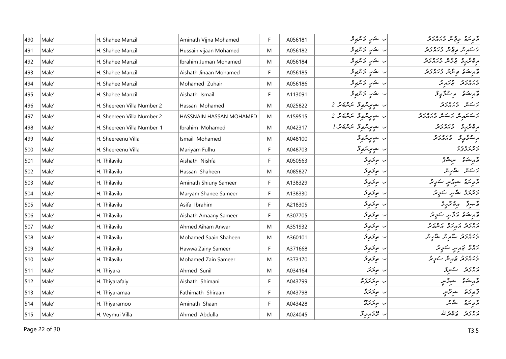| 490 | Male' | H. Shahee Manzil           | Aminath Vijna Mohamed   | F  | A056181 | ر. خې ډنرېږو                  | أثر شهر وره در در د                                                                                            |
|-----|-------|----------------------------|-------------------------|----|---------|-------------------------------|----------------------------------------------------------------------------------------------------------------|
| 491 | Male' | H. Shahee Manzil           | Hussain vijaan Mohamed  | M  | A056182 | $  \cdot  $ ب ڪي وَسُمِو      | أبر مستهر مردح مقروح وبرو وراح                                                                                 |
| 492 | Male' | H. Shahee Manzil           | Ibrahim Juman Mohamed   | M  | A056184 | ر. ڪئي وَنتَرْبوتَر           | ره نژرد و دره دره در                                                                                           |
| 493 | Male' | H. Shahee Manzil           | Aishath Jinaan Mohamed  | F. | A056185 | $  \cdot  $ ب ڪي وَسُمِو      | أثمر شوه و سرسر و رور و                                                                                        |
| 494 | Male' | H. Shahee Manzil           | Mohamed Zuhair          | M  | A056186 | ر. خېر ډممبرو                 | ورەرو وزېر                                                                                                     |
| 495 | Male' | H. Shahee Manzil           | Aishath Ismail          | F  | A113091 | ر. خې وگړونو                  | أقهر شنعتي وسنتركون                                                                                            |
| 496 | Male' | H. Sheereen Villa Number 2 | Hassan Mohamed          | M  | A025822 | ر. ھېرسرونځ سکره څخه 2        | ير يمش وره د و                                                                                                 |
| 497 | Male' | H. Sheereen Villa Number 2 | HASSNAIN HASSAN MOHAMED | M  | A159515 | ر. ھېرسرونځ سرسرتمکر 2        | ي کے سکر سی کرے تھے جاتا ہے جاتا ہے جاتا ہے جاتا ہے کہ اس کے بات کے بات کے بات کے بات کے بات کے بات کے بات کے  |
| 498 | Male' | H. Sheereen Villa Number-1 | Ibrahim Mohamed         | M  | A042317 | ر. خوبرمكرو قريكر مركز من 1-2 | دە ئەرە دىرەرد                                                                                                 |
| 499 | Male' | H. Sheereenu Villa         | Ismail Mohamed          | M  | A048100 | ر، ڪومرسروگر                  | أرجعتم ويده ورود                                                                                               |
| 500 | Male' | H. Sheereenu Villa         | Mariyam Fulhu           | F. | A048703 | ر. ھومرىترە ئۇ                | ر ه ر ه د د<br><del>د</del> بربرو تر تر                                                                        |
| 501 | Male' | H. Thilavilu               | Aishath Nishfa          | F. | A050563 | ر ، مومۇمۇقم                  | وكركو المراشوق                                                                                                 |
| 502 | Male' | H. Thilavilu               | Hassan Shaheen          | M  | A085827 | ر . مومۇمۇقر                  | برسك مقريثه                                                                                                    |
| 503 | Male' | H. Thilavilu               | Aminath Shiuny Sameer   | F  | A138329 | ر. مومۇمۇمۇ                   | أدوسكم سرارس سكور                                                                                              |
| 504 | Male' | H. Thilavilu               | Maryam Shanee Sameer    | F  | A138330 | ر ، مومۇمۇقم                  | د وبرو گوهر کوچر                                                                                               |
| 505 | Male' | H. Thilavilu               | Asifa Ibrahim           | F  | A218305 | ر ، مومۇمۇقم                  | ۇسوژ مەھمەرد                                                                                                   |
| 506 | Male' | H. Thilavilu               | Aishath Amaany Sameer   | F. | A307705 | ر. موځوځ                      | أم أمر شده أمركت سكو مركز                                                                                      |
| 507 | Male' | H. Thilavilu               | Ahmed Aiham Anwar       | M  | A351932 | ر . موځونځ                    | גם ג' ג' ג' כ" ג' היינות היינות היינות היינות היינות היינות היינות היינות היינות היינות היינות היינות היינות ה |
| 508 | Male' | H. Thilavilu               | Mohamed Saain Shaheen   | M  | A360101 | ر و و و و                     | ورەرو بەرش ھەر                                                                                                 |
| 509 | Male' | H. Thilavilu               | Hawwa Zainy Sameer      | F. | A371668 | ر . موځونځ                    | روځ <sub>تم</sub> رس شوید                                                                                      |
| 510 | Male' | H. Thilavilu               | Mohamed Zain Sameer     | M  | A373170 | ر ، مومَومِ وُ                | ورەرو برېر سوپر                                                                                                |
| 511 | Male' | H. Thiyara                 | Ahmed Sunil             | M  | A034164 | ر، مورد تنگه                  | رەر ئەربۇ                                                                                                      |
| 512 | Male' | H. Thiyarafaiy             | Aishath Shimani         | F  | A043799 | ر . په پر ټرو په              | ۇرمۇمۇس ھوقەس                                                                                                  |
| 513 | Male' | H. Thiyaramaa              | Fathimath Shiraani      | F  | A043798 | ر ، جەمزىمەدىخ                | ۇ بردە ھەمگىر<br>كەبرىق ھەمگىر                                                                                 |
| 514 | Male' | H. Thiyaramoo              | Aminath Shaan           | F  | A043428 | ה החמב                        | ا مجمع مرد<br>المرسم مرد<br>ے مگر م <i>گر</i>                                                                  |
| 515 | Male' | H. Veymui Villa            | Ahmed Abdulla           | M  | A024045 | ر ، ءُدە دە د                 | أم بحر من من الله                                                                                              |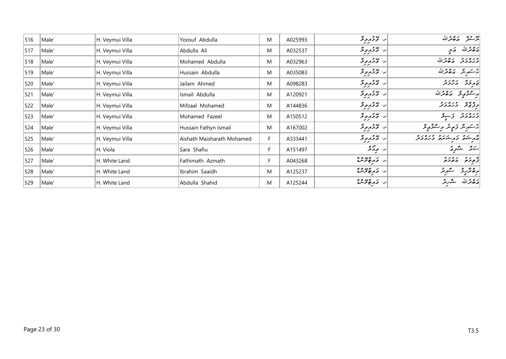| 516 | Male' | H. Veymui Villa | Yoosuf Abdulla             | M  | A025993 | ر. ، ء و مرو تر<br>ر ر                                                | ەھەراللە<br>در مره<br>مرگسه نو            |
|-----|-------|-----------------|----------------------------|----|---------|-----------------------------------------------------------------------|-------------------------------------------|
| 517 | Male' | H. Veymui Villa | Abdulla Ali                | M  | A032537 | ر به ۶۵ و گ                                                           | <mark>صر چو</mark> الله<br>ەرىر           |
| 518 | Male' | H. Veymui Villa | Mohamed Abdulla            | M  | A032963 | ر. ءُ دُمرو پُر                                                       | وره دو ره دالله                           |
| 519 | Male' | H. Veymui Villa | Hussain Abdulla            | M  | A035083 | ~ ءٌ د مره دُ                                                         | 2 كورىش وكافترالله                        |
| 520 | Male' | H. Veymui Villa | Jailam Ahmed               | M  | A098283 | ر به ۶۵ و گ<br>- -                                                    | أيے پر بحر کے برائے دیکھ کر ا             |
| 521 | Male' | H. Veymui Villa | Ismail Abdulla             | M  | A120921 |                                                                       | أرجع ومحصوص وكالحقاللة                    |
| 522 | Male' | H. Veymui Villa | Mifzaal Mohamed            | M  | A144836 | ~ ٷڎږوِدٌ                                                             | و ره ر د<br>رنگرونر<br>  د ژ ځ ژ          |
| 523 | Male' | H. Veymui Villa | Mohamed Fazeel             | M  | A150512 | ر به ۶۵ و گ<br>- -                                                    | ورەرو تەنبىر                              |
| 524 | Male' | H. Veymui Villa | Hussain Fathyn Ismail      | M  | A167002 | ر. ٷڎږوڅ                                                              | جۇ سەر سىر ئۇ بەس بەر سىر ئەر بۇ ئە       |
| 525 | Male' | H. Veymui Villa | Aishath Maisharath Mohamed | F. | A333441 | ب <sup>. ن</sup> ەقەم <i>بە</i> رىگە<br> ب <sup>. ئ</sup> ەقەم بەرىگە | د در در در در در در در د                  |
| 526 | Male' | H. Viola        | Sara Shafiu                | F. | A151497 | ر٠ ودگر                                                               | ستهر شوره                                 |
| 527 | Male' | H. White Land   | Fathimath Azmath           | F. | A043268 | ر. كەرھۇسى                                                            | پر و پر و<br><i>ه</i> خوخ ح<br>نځ ج څخه د |
| 528 | Male' | H. White Land   | Ibrahim Saaidh             | M  | A125237 | ربہ مردم میں وہ                                                       | رە ئۆر ۋ<br>ستور تد<br>$\leq$ $\geq$      |
| 529 | Male' | H. White Land   | Abdulla Shahid             | M  | A125244 | ر که ۱۳۶۴ وه                                                          | پر ۱۵ قرالله<br>ستەرىر                    |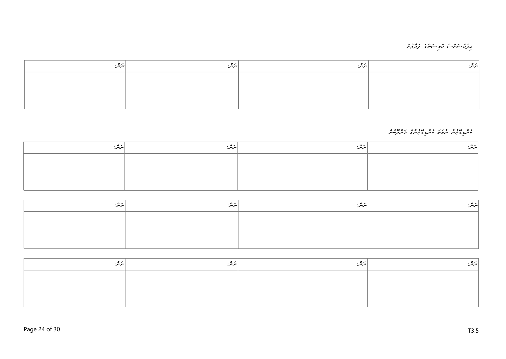## *w7qAn8m?sCw7mRo>u;wEw7mRw;sBo<*

| ' مرمر | 'يئرىثر: |
|--------|----------|
|        |          |
|        |          |
|        |          |

## *w7q9r@w7m>sCw7qHtFoFw7s;mAm=q7w7qHtFoFw7s;*

| يئرمىش: | $^{\circ}$<br>. سر سر<br>$\cdot$ | $\circ$ $\sim$<br>-- | يئرمثر |
|---------|----------------------------------|----------------------|--------|
|         |                                  |                      |        |
|         |                                  |                      |        |
|         |                                  |                      |        |

| $\frac{2}{n}$ | $^{\circ}$ | $\frac{2}{n}$ | $^{\circ}$<br>سرسر. |
|---------------|------------|---------------|---------------------|
|               |            |               |                     |
|               |            |               |                     |
|               |            |               |                     |

| ىرتىر: | 。<br>سر سر | .,<br>مرسر |
|--------|------------|------------|
|        |            |            |
|        |            |            |
|        |            |            |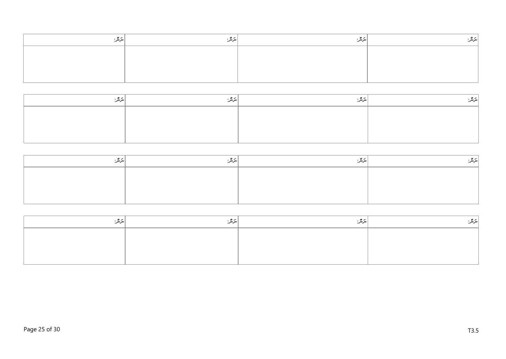| يره. | ο. | ا ير ه |  |
|------|----|--------|--|
|      |    |        |  |
|      |    |        |  |
|      |    |        |  |

| <sup>.</sup> سرسر. |  |
|--------------------|--|
|                    |  |
|                    |  |
|                    |  |

| ىئرىتر. | $\sim$ | ا بر هه. | لىرىش |
|---------|--------|----------|-------|
|         |        |          |       |
|         |        |          |       |
|         |        |          |       |

| 。<br>مرس. | $\overline{\phantom{a}}$<br>مر سر | يتريثر |
|-----------|-----------------------------------|--------|
|           |                                   |        |
|           |                                   |        |
|           |                                   |        |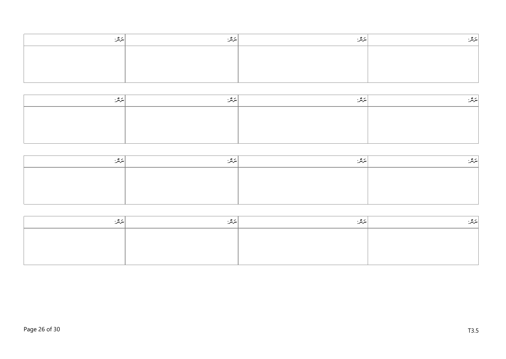| ير هو . | $\overline{\phantom{a}}$ | يرمر | اير هنه. |
|---------|--------------------------|------|----------|
|         |                          |      |          |
|         |                          |      |          |
|         |                          |      |          |

| ىر تىر: | $\circ$ $\sim$<br>" سرسر . | يبرحه | o . |
|---------|----------------------------|-------|-----|
|         |                            |       |     |
|         |                            |       |     |
|         |                            |       |     |

| انترنثر: | ر ه |  |
|----------|-----|--|
|          |     |  |
|          |     |  |
|          |     |  |

|  | . ه |
|--|-----|
|  |     |
|  |     |
|  |     |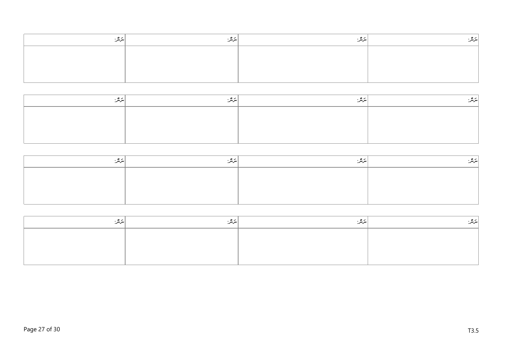| ير هو . | $\overline{\phantom{a}}$ | يرمر | اير هنه. |
|---------|--------------------------|------|----------|
|         |                          |      |          |
|         |                          |      |          |
|         |                          |      |          |

| ئىرتىر: | $\sim$<br>ا سرسر . | يئرمثر | o . |
|---------|--------------------|--------|-----|
|         |                    |        |     |
|         |                    |        |     |
|         |                    |        |     |

| كترنثر: | 。 | 。<br>سرسر. | o <i>~</i> |
|---------|---|------------|------------|
|         |   |            |            |
|         |   |            |            |
|         |   |            |            |

|  | . ه |
|--|-----|
|  |     |
|  |     |
|  |     |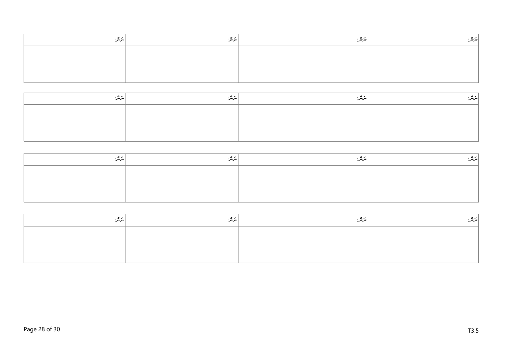| $\cdot$ | ο. | $\frac{\circ}{\cdot}$ | $\sim$<br>سرسر |
|---------|----|-----------------------|----------------|
|         |    |                       |                |
|         |    |                       |                |
|         |    |                       |                |

| ايرعر: | ر ه<br>. . |  |
|--------|------------|--|
|        |            |  |
|        |            |  |
|        |            |  |

| بر ه | 。 | $\sim$<br>َ سومس |  |
|------|---|------------------|--|
|      |   |                  |  |
|      |   |                  |  |
|      |   |                  |  |

| 。<br>. س | ىرىىر |  |
|----------|-------|--|
|          |       |  |
|          |       |  |
|          |       |  |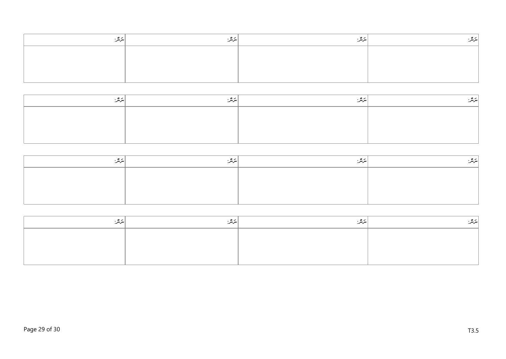| ير هو . | $\overline{\phantom{a}}$ | يرمر | لتزمثن |
|---------|--------------------------|------|--------|
|         |                          |      |        |
|         |                          |      |        |
|         |                          |      |        |

| ىر تىر: | $\circ$ $\sim$<br>" سرسر . | يبرحه | o . |
|---------|----------------------------|-------|-----|
|         |                            |       |     |
|         |                            |       |     |
|         |                            |       |     |

| انترنثر: | ر ه |  |
|----------|-----|--|
|          |     |  |
|          |     |  |
|          |     |  |

|  | . ه |
|--|-----|
|  |     |
|  |     |
|  |     |